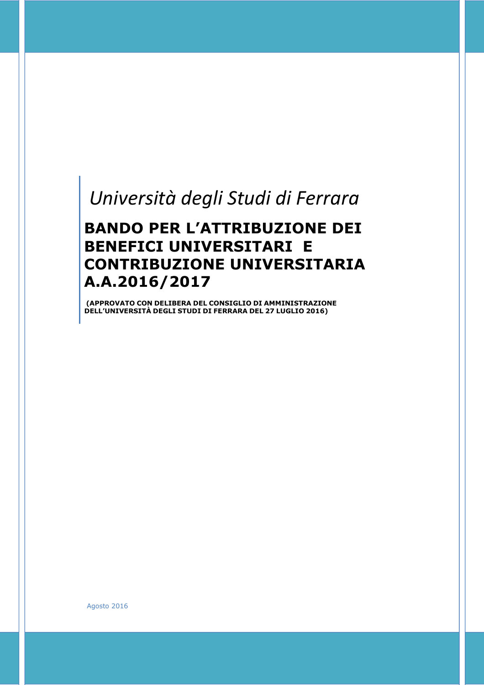# *Università degli Studi di Ferrara*

# **BANDO PER L'ATTRIBUZIONE DEI BENEFICI UNIVERSITARI E CONTRIBUZIONE UNIVERSITARIA A.A.2016/2017**

**(APPROVATO CON DELIBERA DEL CONSIGLIO DI AMMINISTRAZIONE DELL'UNIVERSITÀ DEGLI STUDI DI FERRARA DEL 27 LUGLIO 2016)**

Agosto 2016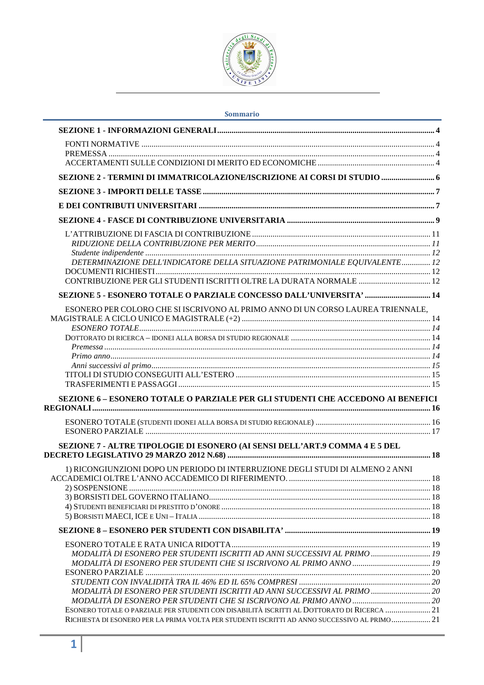

| Sommario |  |  |
|----------|--|--|
|          |  |  |

| SEZIONE 2 - TERMINI DI IMMATRICOLAZIONE/ISCRIZIONE AI CORSI DI STUDIO  6                     |  |
|----------------------------------------------------------------------------------------------|--|
|                                                                                              |  |
|                                                                                              |  |
|                                                                                              |  |
|                                                                                              |  |
|                                                                                              |  |
|                                                                                              |  |
| DETERMINAZIONE DELL'INDICATORE DELLA SITUAZIONE PATRIMONIALE EQUIVALENTE 12                  |  |
|                                                                                              |  |
| CONTRIBUZIONE PER GLI STUDENTI ISCRITTI OLTRE LA DURATA NORMALE  12                          |  |
| SEZIONE 5 - ESONERO TOTALE O PARZIALE CONCESSO DALL'UNIVERSITA'  14                          |  |
| ESONERO PER COLORO CHE SI ISCRIVONO AL PRIMO ANNO DI UN CORSO LAUREA TRIENNALE,              |  |
|                                                                                              |  |
|                                                                                              |  |
|                                                                                              |  |
|                                                                                              |  |
|                                                                                              |  |
|                                                                                              |  |
|                                                                                              |  |
|                                                                                              |  |
| SEZIONE 6 - ESONERO TOTALE O PARZIALE PER GLI STUDENTI CHE ACCEDONO AI BENEFICI              |  |
|                                                                                              |  |
|                                                                                              |  |
|                                                                                              |  |
| SEZIONE 7 - ALTRE TIPOLOGIE DI ESONERO (AI SENSI DELL'ART.9 COMMA 4 E 5 DEL                  |  |
| 1) RICONGIUNZIONI DOPO UN PERIODO DI INTERRUZIONE DEGLI STUDI DI ALMENO 2 ANNI               |  |
|                                                                                              |  |
|                                                                                              |  |
|                                                                                              |  |
|                                                                                              |  |
|                                                                                              |  |
|                                                                                              |  |
|                                                                                              |  |
| MODALITÀ DI ESONERO PER STUDENTI ISCRITTI AD ANNI SUCCESSIVI AL PRIMO  19                    |  |
|                                                                                              |  |
|                                                                                              |  |
|                                                                                              |  |
| MODALITÀ DI ESONERO PER STUDENTI ISCRITTI AD ANNI SUCCESSIVI AL PRIMO  20                    |  |
|                                                                                              |  |
| ESONERO TOTALE O PARZIALE PER STUDENTI CON DISABILITÀ ISCRITTI AL DOTTORATO DI RICERCA 21    |  |
| RICHIESTA DI ESONERO PER LA PRIMA VOLTA PER STUDENTI ISCRITTI AD ANNO SUCCESSIVO AL PRIMO 21 |  |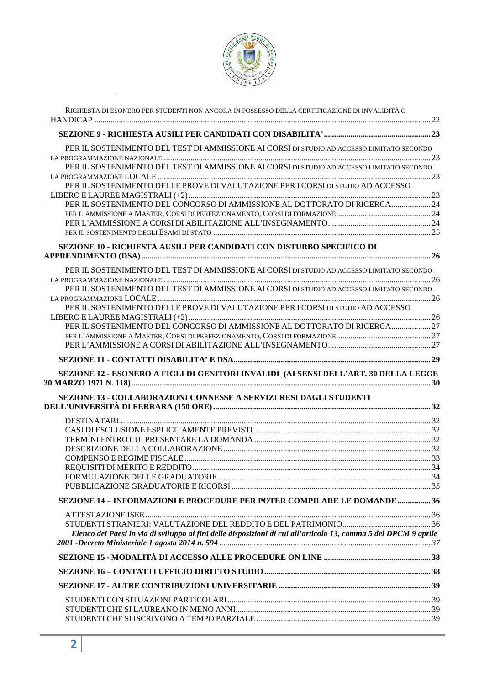

| RICHIESTA DI ESONERO PER STUDENTI NON ANCORA IN POSSESSO DELLA CERTIFICAZIONE DI INVALIDITÀ O                    |  |
|------------------------------------------------------------------------------------------------------------------|--|
|                                                                                                                  |  |
| PER IL SOSTENIMENTO DEL TEST DI AMMISSIONE AI CORSI DI STUDIO AD ACCESSO LIMITATO SECONDO                        |  |
| PER IL SOSTENIMENTO DEL TEST DI AMMISSIONE AI CORSI DI STUDIO AD ACCESSO LIMITATO SECONDO                        |  |
| PER IL SOSTENIMENTO DELLE PROVE DI VALUTAZIONE PER I CORSI DI STUDIO AD ACCESSO                                  |  |
| PER IL SOSTENIMENTO DEL CONCORSO DI AMMISSIONE AL DOTTORATO DI RICERCA  24                                       |  |
|                                                                                                                  |  |
|                                                                                                                  |  |
|                                                                                                                  |  |
| SEZIONE 10 - RICHIESTA AUSILI PER CANDIDATI CON DISTURBO SPECIFICO DI                                            |  |
| PER IL SOSTENIMENTO DEL TEST DI AMMISSIONE AI CORSI DI STUDIO AD ACCESSO LIMITATO SECONDO                        |  |
| PER IL SOSTENIMENTO DEL TEST DI AMMISSIONE AI CORSI DI STUDIO AD ACCESSO LIMITATO SECONDO                        |  |
| PER IL SOSTENIMENTO DELLE PROVE DI VALUTAZIONE PER I CORSI DI STUDIO AD ACCESSO                                  |  |
| PER IL SOSTENIMENTO DEL CONCORSO DI AMMISSIONE AL DOTTORATO DI RICERCA  27                                       |  |
|                                                                                                                  |  |
|                                                                                                                  |  |
|                                                                                                                  |  |
| SEZIONE 12 - ESONERO A FIGLI DI GENITORI INVALIDI (AI SENSI DELL'ART. 30 DELLA LEGGE                             |  |
|                                                                                                                  |  |
| SEZIONE 13 - COLLABORAZIONI CONNESSE A SERVIZI RESI DAGLI STUDENTI                                               |  |
|                                                                                                                  |  |
|                                                                                                                  |  |
|                                                                                                                  |  |
|                                                                                                                  |  |
|                                                                                                                  |  |
|                                                                                                                  |  |
|                                                                                                                  |  |
| SEZIONE 14 - INFORMAZIONI E PROCEDURE PER POTER COMPILARE LE DOMANDE 36                                          |  |
|                                                                                                                  |  |
|                                                                                                                  |  |
| Elenco dei Paesi in via di sviluppo ai fini delle disposizioni di cui all'articolo 13, comma 5 del DPCM 9 aprile |  |
|                                                                                                                  |  |
|                                                                                                                  |  |
|                                                                                                                  |  |
|                                                                                                                  |  |
|                                                                                                                  |  |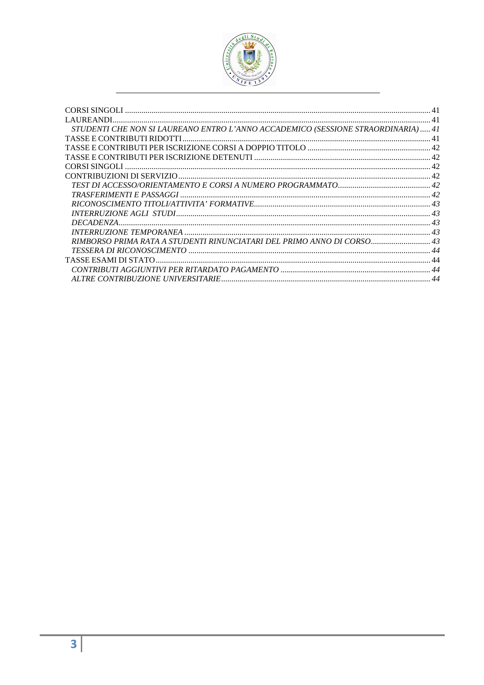

| STUDENTI CHE NON SI LAUREANO ENTRO L'ANNO ACCADEMICO (SESSIONE STRAORDINARIA) 41 |  |
|----------------------------------------------------------------------------------|--|
|                                                                                  |  |
|                                                                                  |  |
|                                                                                  |  |
|                                                                                  |  |
|                                                                                  |  |
|                                                                                  |  |
|                                                                                  |  |
|                                                                                  |  |
|                                                                                  |  |
|                                                                                  |  |
|                                                                                  |  |
| RIMBORSO PRIMA RATA A STUDENTI RINUNCIATARI DEL PRIMO ANNO DI CORSO 43           |  |
|                                                                                  |  |
|                                                                                  |  |
|                                                                                  |  |
|                                                                                  |  |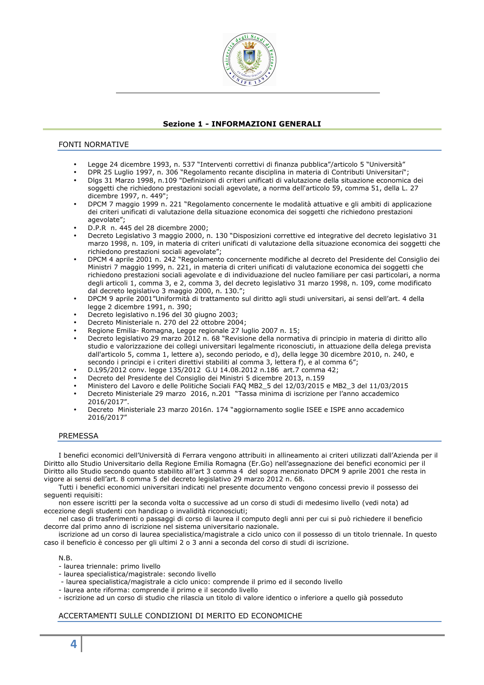

# **Sezione 1 - INFORMAZIONI GENERALI**

# FONTI NORMATIVE

- Legge 24 dicembre 1993, n. 537 "Interventi correttivi di finanza pubblica"/articolo 5 "Università"
- DPR 25 Luglio 1997, n. 306 "Regolamento recante disciplina in materia di Contributi Universitari";
- Dlgs 31 Marzo 1998, n.109 "Definizioni di criteri unificati di valutazione della situazione economica dei soggetti che richiedono prestazioni sociali agevolate, a norma dell'articolo 59, comma 51, della L. 27 dicembre 1997, n. 449";
- DPCM 7 maggio 1999 n. 221 "Regolamento concernente le modalità attuative e gli ambiti di applicazione dei criteri unificati di valutazione della situazione economica dei soggetti che richiedono prestazioni agevolate";
- D.P.R n. 445 del 28 dicembre 2000;
- Decreto Legislativo 3 maggio 2000, n. 130 "Disposizioni correttive ed integrative del decreto legislativo 31 marzo 1998, n. 109, in materia di criteri unificati di valutazione della situazione economica dei soggetti che richiedono prestazioni sociali agevolate";
- DPCM 4 aprile 2001 n. 242 "Regolamento concernente modifiche al decreto del Presidente del Consiglio dei Ministri 7 maggio 1999, n. 221, in materia di criteri unificati di valutazione economica dei soggetti che richiedono prestazioni sociali agevolate e di individuazione del nucleo familiare per casi particolari, a norma degli articoli 1, comma 3, e 2, comma 3, del decreto legislativo 31 marzo 1998, n. 109, come modificato dal decreto legislativo 3 maggio 2000, n. 130.";
- DPCM 9 aprile 2001"Uniformità di trattamento sul diritto agli studi universitari, ai sensi dell'art. 4 della legge 2 dicembre 1991, n. 390;
- Decreto legislativo n.196 del 30 giugno 2003;
- Decreto Ministeriale n. 270 del 22 ottobre 2004;
- Regione Emilia- Romagna, Legge regionale 27 luglio 2007 n. 15;
- Decreto legislativo 29 marzo 2012 n. 68 "Revisione della normativa di principio in materia di diritto allo studio e valorizzazione dei collegi universitari legalmente riconosciuti, in attuazione della delega prevista dall'articolo 5, comma 1, lettere a), secondo periodo, e d), della legge 30 dicembre 2010, n. 240, e secondo i principi e i criteri direttivi stabiliti al comma 3, lettera f), e al comma 6";
- D.L95/2012 conv. legge 135/2012 G.U 14.08.2012 n.186 art.7 comma 42;
- Decreto del Presidente del Consiglio dei Ministri 5 dicembre 2013, n.159
- Ministero del Lavoro e delle Politiche Sociali FAQ MB2\_5 del 12/03/2015 e MB2\_3 del 11/03/2015
- Decreto Ministeriale 29 marzo 2016, n.201 "Tassa minima di iscrizione per l'anno accademico 2016/2017".
- Decreto Ministeriale 23 marzo 2016n. 174 "aggiornamento soglie ISEE e ISPE anno accademico 2016/2017"

# PREMESSA

I benefici economici dell'Università di Ferrara vengono attribuiti in allineamento ai criteri utilizzati dall'Azienda per il Diritto allo Studio Universitario della Regione Emilia Romagna (Er.Go) nell'assegnazione dei benefici economici per il Diritto allo Studio secondo quanto stabilito all'art 3 comma 4 del sopra menzionato DPCM 9 aprile 2001 che resta in vigore ai sensi dell'art. 8 comma 5 del decreto legislativo 29 marzo 2012 n. 68.

Tutti i benefici economici universitari indicati nel presente documento vengono concessi previo il possesso dei seguenti requisiti:

non essere iscritti per la seconda volta o successive ad un corso di studi di medesimo livello (vedi nota) ad eccezione degli studenti con handicap o invalidità riconosciuti;

nel caso di trasferimenti o passaggi di corso di laurea il computo degli anni per cui si può richiedere il beneficio decorre dal primo anno di iscrizione nel sistema universitario nazionale.

iscrizione ad un corso di laurea specialistica/magistrale a ciclo unico con il possesso di un titolo triennale. In questo caso il beneficio è concesso per gli ultimi 2 o 3 anni a seconda del corso di studi di iscrizione.

N.B.

- laurea triennale: primo livello
- laurea specialistica/magistrale: secondo livello
- laurea specialistica/magistrale a ciclo unico: comprende il primo ed il secondo livello
- laurea ante riforma: comprende il primo e il secondo livello

- iscrizione ad un corso di studio che rilascia un titolo di valore identico o inferiore a quello già posseduto

# ACCERTAMENTI SULLE CONDIZIONI DI MERITO ED ECONOMICHE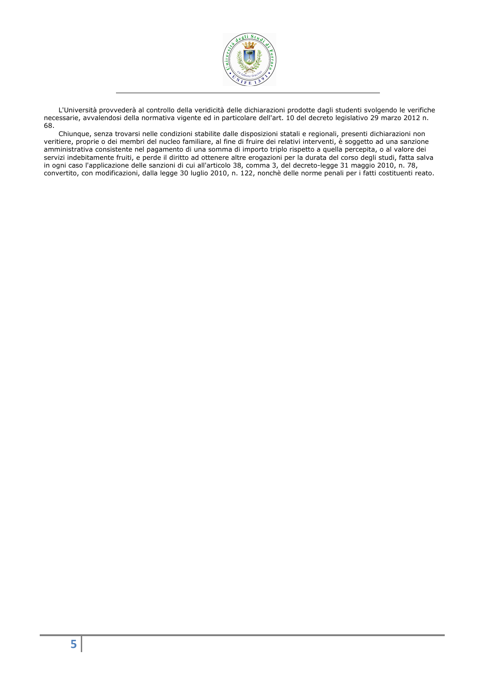

L'Università provvederà al controllo della veridicità delle dichiarazioni prodotte dagli studenti svolgendo le verifiche necessarie, avvalendosi della normativa vigente ed in particolare dell'art. 10 del decreto legislativo 29 marzo 2012 n. 68.

Chiunque, senza trovarsi nelle condizioni stabilite dalle disposizioni statali e regionali, presenti dichiarazioni non veritiere, proprie o dei membri del nucleo familiare, al fine di fruire dei relativi interventi, è soggetto ad una sanzione amministrativa consistente nel pagamento di una somma di importo triplo rispetto a quella percepita, o al valore dei servizi indebitamente fruiti, e perde il diritto ad ottenere altre erogazioni per la durata del corso degli studi, fatta salva in ogni caso l'applicazione delle sanzioni di cui all'articolo 38, comma 3, del decreto-legge 31 maggio 2010, n. 78, convertito, con modificazioni, dalla legge 30 luglio 2010, n. 122, nonchè delle norme penali per i fatti costituenti reato.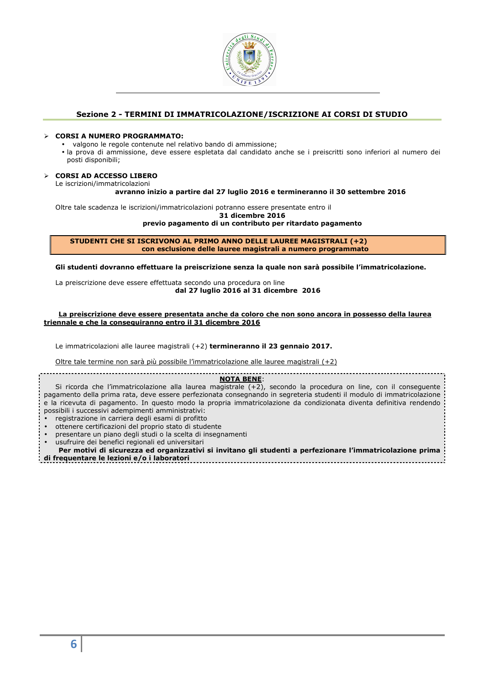

# **Sezione 2 - TERMINI DI IMMATRICOLAZIONE/ISCRIZIONE AI CORSI DI STUDIO**

### **CORSI A NUMERO PROGRAMMATO:**

- valgono le regole contenute nel relativo bando di ammissione;
- la prova di ammissione, deve essere espletata dal candidato anche se i preiscritti sono inferiori al numero dei posti disponibili;

### **CORSI AD ACCESSO LIBERO**

Le iscrizioni/immatricolazioni

#### **avranno inizio a partire dal 27 luglio 2016 e termineranno il 30 settembre 2016**

Oltre tale scadenza le iscrizioni/immatricolazioni potranno essere presentate entro il

**31 dicembre 2016** 

**previo pagamento di un contributo per ritardato pagamento** 

**STUDENTI CHE SI ISCRIVONO AL PRIMO ANNO DELLE LAUREE MAGISTRALI (+2) con esclusione delle lauree magistrali a numero programmato** 

**Gli studenti dovranno effettuare la preiscrizione senza la quale non sarà possibile l'immatricolazione.** 

La preiscrizione deve essere effettuata secondo una procedura on line **dal 27 luglio 2016 al 31 dicembre 2016** 

### **La preiscrizione deve essere presentata anche da coloro che non sono ancora in possesso della laurea triennale e che la conseguiranno entro il 31 dicembre 2016**

Le immatricolazioni alle lauree magistrali (+2) **termineranno il 23 gennaio 2017.** 

Oltre tale termine non sarà più possibile l'immatricolazione alle lauree magistrali (+2)

# **NOTA BENE**:

Si ricorda che l'immatricolazione alla laurea magistrale  $(+2)$ , secondo la procedura on line, con il conseguente pagamento della prima rata, deve essere perfezionata consegnando in segreteria studenti il modulo di immatricolazione e la ricevuta di pagamento. In questo modo la propria immatricolazione da condizionata diventa definitiva rendendo possibili i successivi adempimenti amministrativi:

- registrazione in carriera degli esami di profitto
- ottenere certificazioni del proprio stato di studente
- presentare un piano degli studi o la scelta di insegnamenti
- usufruire dei benefici regionali ed universitari
- **Per motivi di sicurezza ed organizzativi si invitano gli studenti a perfezionare l'immatricolazione prima di frequentare le lezioni e/o i laboratori**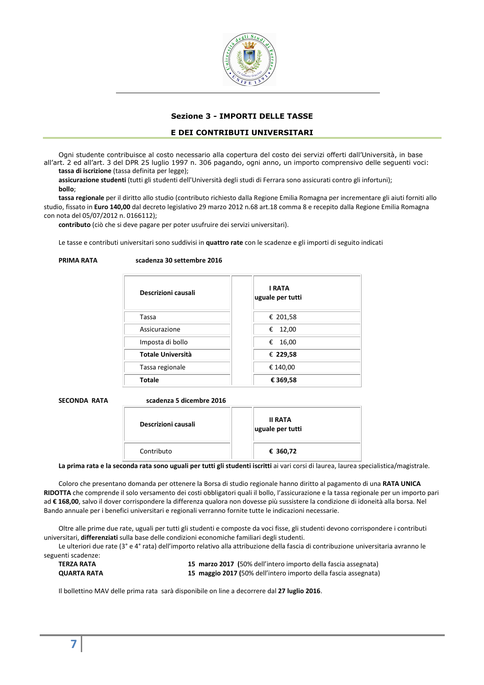

# **Sezione 3 - IMPORTI DELLE TASSE**

# **E DEI CONTRIBUTI UNIVERSITARI**

Ogni studente contribuisce al costo necessario alla copertura del costo dei servizi offerti dall'Università, in base all'art. 2 ed all'art. 3 del DPR 25 luglio 1997 n. 306 pagando, ogni anno, un importo comprensivo delle seguenti voci: **tassa di iscrizione** (tassa definita per legge);

**assicurazione studenti** (tutti gli studenti dell'Università degli studi di Ferrara sono assicurati contro gli infortuni); **bollo**;

**tassa regionale** per il diritto allo studio (contributo richiesto dalla Regione Emilia Romagna per incrementare gli aiuti forniti allo studio, fissato in **Euro 140,00** dal decreto legislativo 29 marzo 2012 n.68 art.18 comma 8 e recepito dalla Regione Emilia Romagna con nota del 05/07/2012 n. 0166112);

**contributo** (ciò che si deve pagare per poter usufruire dei servizi universitari).

Le tasse e contributi universitari sono suddivisi in **quattro rate** con le scadenze e gli importi di seguito indicati

| <b>PRIMA RATA</b> | scadenza 30 settembre 2016 |
|-------------------|----------------------------|
|                   |                            |

| Descrizioni causali      | <b>I RATA</b><br>uguale per tutti |
|--------------------------|-----------------------------------|
| Tassa                    | € 201,58                          |
| Assicurazione            | 12,00<br>€                        |
| Imposta di bollo         | 16,00<br>€                        |
| <b>Totale Università</b> | € 229,58                          |
| Tassa regionale          | € 140,00                          |
| <b>Totale</b>            | € 369,58                          |
|                          |                                   |

**SECONDA RATA scadenza 5 dicembre 2016** 

| Descrizioni causali | <b>II RATA</b><br>uguale per tutti |
|---------------------|------------------------------------|
| Contributo          | € 360,72                           |

**La prima rata e la seconda rata sono uguali per tutti gli studenti iscritti** ai vari corsi di laurea, laurea specialistica/magistrale.

Coloro che presentano domanda per ottenere la Borsa di studio regionale hanno diritto al pagamento di una **RATA UNICA RIDOTTA** che comprende il solo versamento dei costi obbligatori quali il bollo, l'assicurazione e la tassa regionale per un importo pari ad **€ 168,00**, salvo il dover corrispondere la differenza qualora non dovesse più sussistere la condizione di idoneità alla borsa. Nel Bando annuale per i benefici universitari e regionali verranno fornite tutte le indicazioni necessarie.

Oltre alle prime due rate, uguali per tutti gli studenti e composte da voci fisse, gli studenti devono corrispondere i contributi universitari, **differenziati** sulla base delle condizioni economiche familiari degli studenti.

Le ulteriori due rate (3° e 4° rata) dell'importo relativo alla attribuzione della fascia di contribuzione universitaria avranno le seguenti scadenze:

| TERZA RATA         | 15 marzo 2017 (50% dell'intero importo della fascia assegnata)  |
|--------------------|-----------------------------------------------------------------|
| <b>QUARTA RATA</b> | 15 maggio 2017 (50% dell'intero importo della fascia assegnata) |

Il bollettino MAV delle prima rata sarà disponibile on line a decorrere dal **27 luglio 2016**.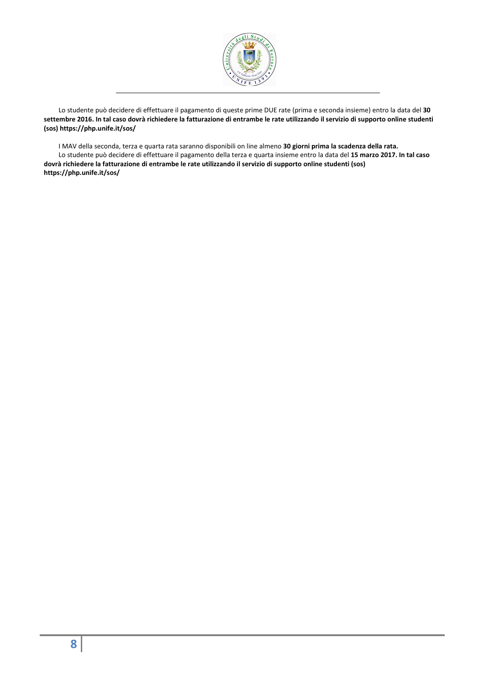

Lo studente può decidere di effettuare il pagamento di queste prime DUE rate (prima e seconda insieme) entro la data del **30 settembre 2016. In tal caso dovrà richiedere la fatturazione di entrambe le rate utilizzando il servizio di supporto online studenti (sos) https://php.unife.it/sos/** 

I MAV della seconda, terza e quarta rata saranno disponibili on line almeno **30 giorni prima la scadenza della rata.**  Lo studente può decidere di effettuare il pagamento della terza e quarta insieme entro la data del **15 marzo 2017. In tal caso dovrà richiedere la fatturazione di entrambe le rate utilizzando il servizio di supporto online studenti (sos) https://php.unife.it/sos/**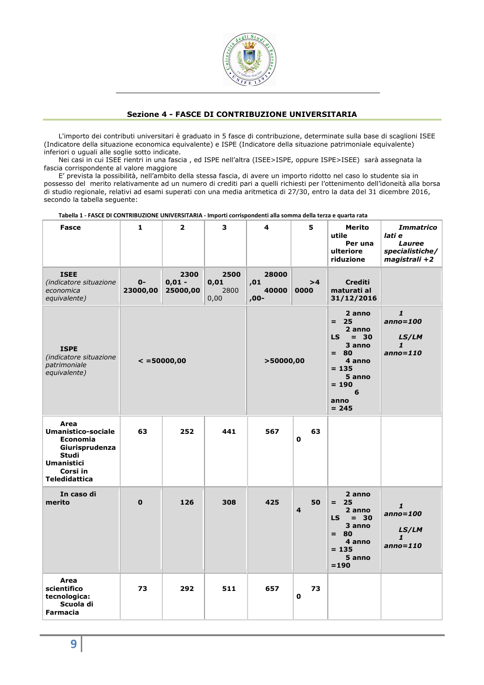

# **Sezione 4 - FASCE DI CONTRIBUZIONE UNIVERSITARIA**

L'importo dei contributi universitari è graduato in 5 fasce di contribuzione, determinate sulla base di scaglioni ISEE (Indicatore della situazione economica equivalente) e ISPE (Indicatore della situazione patrimoniale equivalente) inferiori o uguali alle soglie sotto indicate.

Nei casi in cui ISEE rientri in una fascia , ed ISPE nell'altra (ISEE>ISPE, oppure ISPE>ISEE) sarà assegnata la fascia corrispondente al valore maggiore

E' prevista la possibilità, nell'ambito della stessa fascia, di avere un importo ridotto nel caso lo studente sia in possesso del merito relativamente ad un numero di crediti pari a quelli richiesti per l'ottenimento dell'idoneità alla borsa di studio regionale, relativi ad esami superati con una media aritmetica di 27/30, entro la data del 31 dicembre 2016, secondo la tabella seguente:

**Tabella 1 - FASCE DI CONTRIBUZIONE UNIVERSITARIA - Importi corrispondenti alla somma della terza e quarta rata** 

| <b>Fasce</b>                                                                                                                                    | $\mathbf 1$          | $\overline{\mathbf{2}}$      | 3                            | 4                               | 5                                                                                                                                        | Merito<br>utile<br>Per una<br>ulteriore<br>riduzione                                                                   | <b>Immatrico</b><br>lati e<br>Lauree<br>specialistiche/<br>magistrali +2 |
|-------------------------------------------------------------------------------------------------------------------------------------------------|----------------------|------------------------------|------------------------------|---------------------------------|------------------------------------------------------------------------------------------------------------------------------------------|------------------------------------------------------------------------------------------------------------------------|--------------------------------------------------------------------------|
| <b>ISEE</b><br>(indicatore situazione<br>economica<br>equivalente)                                                                              | $0 -$<br>23000,00    | 2300<br>$0,01 -$<br>25000,00 | 2500<br>0,01<br>2800<br>0,00 | 28000<br>,01<br>40000<br>$,00-$ | >4<br>0000                                                                                                                               | <b>Crediti</b><br>maturati al<br>31/12/2016                                                                            |                                                                          |
| <b>ISPE</b><br>(indicatore situazione<br>patrimoniale<br>equivalente)                                                                           | $\epsilon$ =50000,00 |                              | >50000,00                    |                                 | 2 anno<br>$= 25$<br>2 anno<br>LS.<br>$= 30$<br>3 anno<br>80<br>$=$ $-$<br>4 anno<br>$= 135$<br>5 anno<br>$= 190$<br>6<br>anno<br>$= 245$ | $\mathbf{1}$<br>$anno = 100$<br>LS/LM<br>1<br>$anno = 110$                                                             |                                                                          |
| Area<br><b>Umanistico-sociale</b><br><b>Economia</b><br>Giurisprudenza<br><b>Studi</b><br><b>Umanistici</b><br>Corsi in<br><b>Teledidattica</b> | 63                   | 252                          | 441                          | 567                             | 63<br>$\mathbf 0$                                                                                                                        |                                                                                                                        |                                                                          |
| In caso di<br>merito                                                                                                                            | $\mathbf 0$          | 126                          | 308                          | 425                             | 50<br>$\overline{\mathbf{4}}$                                                                                                            | 2 anno<br>25<br>$=$ $-$<br>2 anno<br><b>LS</b><br>$= 30$<br>3 anno<br>$= 80$<br>4 anno<br>$= 135$<br>5 anno<br>$= 190$ | 1<br>anno=100<br>LS/LM<br>1<br>$anno = 110$                              |
| Area<br>scientifico<br>tecnologica:<br>Scuola di<br><b>Farmacia</b>                                                                             | 73                   | 292                          | 511                          | 657                             | 73<br>$\mathbf 0$                                                                                                                        |                                                                                                                        |                                                                          |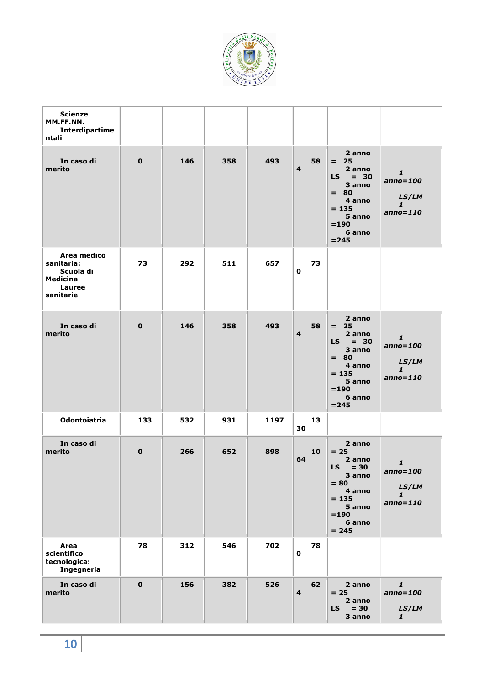

| <b>Scienze</b>                                                                   |             |     |     |      |                               |                                                                                                                            |                                                            |
|----------------------------------------------------------------------------------|-------------|-----|-----|------|-------------------------------|----------------------------------------------------------------------------------------------------------------------------|------------------------------------------------------------|
| MM.FF.NN.<br>Interdipartime<br>ntali                                             |             |     |     |      |                               |                                                                                                                            |                                                            |
| In caso di<br>merito                                                             | $\mathbf 0$ | 146 | 358 | 493  | 58<br>$\overline{\mathbf{4}}$ | 2 anno<br>$= 25$<br>2 anno<br>$LS = 30$<br>3 anno<br>$= 80$<br>4 anno<br>$= 135$<br>5 anno<br>$= 190$<br>6 anno<br>$= 245$ | $\mathbf{1}$<br>$anno = 100$<br>LS/LM<br>1<br>$anno = 110$ |
| Area medico<br>sanitaria:<br>Scuola di<br>Medicina<br><b>Lauree</b><br>sanitarie | 73          | 292 | 511 | 657  | 73<br>0                       |                                                                                                                            |                                                            |
| In caso di<br>merito                                                             | $\mathbf 0$ | 146 | 358 | 493  | 58<br>$\overline{\mathbf{4}}$ | 2 anno<br>$= 25$<br>2 anno<br>$LS = 30$<br>3 anno<br>$= 80$<br>4 anno<br>$= 135$<br>5 anno<br>$= 190$<br>6 anno<br>$= 245$ | $\mathbf{1}$<br>$anno = 100$<br>LS/LM<br>1<br>$anno = 110$ |
| <b>Odontoiatria</b>                                                              | 133         | 532 | 931 | 1197 | 13<br>30                      |                                                                                                                            |                                                            |
| In caso di<br>merito                                                             | $\mathbf 0$ | 266 | 652 | 898  | 10<br>64                      | 2 anno<br>$= 25$<br>2 anno<br>$LS = 30$<br>3 anno<br>$= 80$<br>4 anno<br>$= 135$<br>5 anno<br>$= 190$<br>6 anno<br>$= 245$ | $\mathbf{1}$<br>$anno = 100$<br>LS/LM<br>1<br>$anno = 110$ |
| Area<br>scientifico<br>tecnologica:<br>Ingegneria                                | 78          | 312 | 546 | 702  | 78<br>$\mathbf 0$             |                                                                                                                            |                                                            |
| In caso di<br>merito                                                             | $\mathbf 0$ | 156 | 382 | 526  | 62<br>$\overline{\mathbf{4}}$ | 2 anno<br>$= 25$<br>2 anno<br>$= 30$<br><b>LS</b><br>3 anno                                                                | $\mathbf{1}$<br>$anno = 100$<br>LS/LM<br>$\mathbf{1}$      |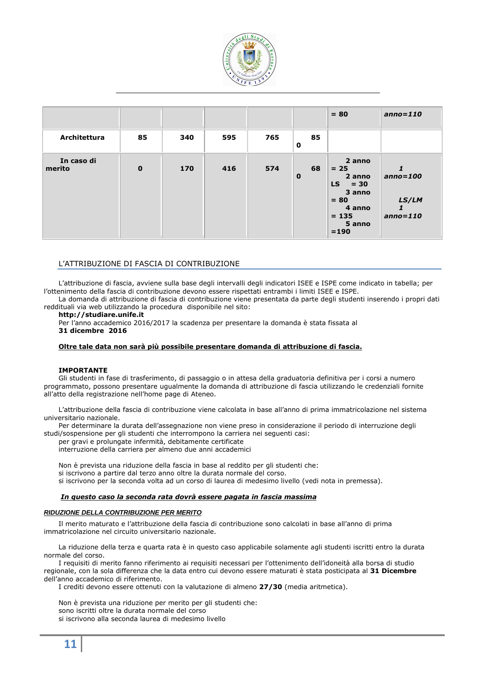

|                      |             |     |     |     |                   | $= 80$                                                                                                | $anno = 110$                           |
|----------------------|-------------|-----|-----|-----|-------------------|-------------------------------------------------------------------------------------------------------|----------------------------------------|
| Architettura         | 85          | 340 | 595 | 765 | 85<br>$\mathbf 0$ |                                                                                                       |                                        |
| In caso di<br>merito | $\mathbf 0$ | 170 | 416 | 574 | 68<br>$\mathbf 0$ | 2 anno<br>$= 25$<br>2 anno<br>$LS = 30$<br>3 anno<br>$= 80$<br>4 anno<br>$= 135$<br>5 anno<br>$= 190$ | $anno=100$<br>LS/LM<br>1<br>$anno=110$ |

# L'ATTRIBUZIONE DI FASCIA DI CONTRIBUZIONE

L'attribuzione di fascia, avviene sulla base degli intervalli degli indicatori ISEE e ISPE come indicato in tabella; per l'ottenimento della fascia di contribuzione devono essere rispettati entrambi i limiti ISEE e ISPE.

La domanda di attribuzione di fascia di contribuzione viene presentata da parte degli studenti inserendo i propri dati reddituali via web utilizzando la procedura disponibile nel sito:

### **http://studiare.unife.it**

Per l'anno accademico 2016/2017 la scadenza per presentare la domanda è stata fissata al **31 dicembre 2016** 

# **Oltre tale data non sarà più possibile presentare domanda di attribuzione di fascia.**

# **IMPORTANTE**

Gli studenti in fase di trasferimento, di passaggio o in attesa della graduatoria definitiva per i corsi a numero programmato, possono presentare ugualmente la domanda di attribuzione di fascia utilizzando le credenziali fornite all'atto della registrazione nell'home page di Ateneo.

L'attribuzione della fascia di contribuzione viene calcolata in base all'anno di prima immatricolazione nel sistema universitario nazionale.

Per determinare la durata dell'assegnazione non viene preso in considerazione il periodo di interruzione degli studi/sospensione per gli studenti che interrompono la carriera nei seguenti casi:

per gravi e prolungate infermità, debitamente certificate

interruzione della carriera per almeno due anni accademici

Non è prevista una riduzione della fascia in base al reddito per gli studenti che: si iscrivono a partire dal terzo anno oltre la durata normale del corso. si iscrivono per la seconda volta ad un corso di laurea di medesimo livello (vedi nota in premessa).

# *In questo caso la seconda rata dovrà essere pagata in fascia massima*

#### **RIDUZIONE DELLA CONTRIBUZIONE PER MERITO**

Il merito maturato e l'attribuzione della fascia di contribuzione sono calcolati in base all'anno di prima immatricolazione nel circuito universitario nazionale.

La riduzione della terza e quarta rata è in questo caso applicabile solamente agli studenti iscritti entro la durata normale del corso.

I requisiti di merito fanno riferimento ai requisiti necessari per l'ottenimento dell'idoneità alla borsa di studio regionale, con la sola differenza che la data entro cui devono essere maturati è stata posticipata al **31 Dicembre** dell'anno accademico di riferimento.

I crediti devono essere ottenuti con la valutazione di almeno **27/30** (media aritmetica).

Non è prevista una riduzione per merito per gli studenti che:

sono iscritti oltre la durata normale del corso

si iscrivono alla seconda laurea di medesimo livello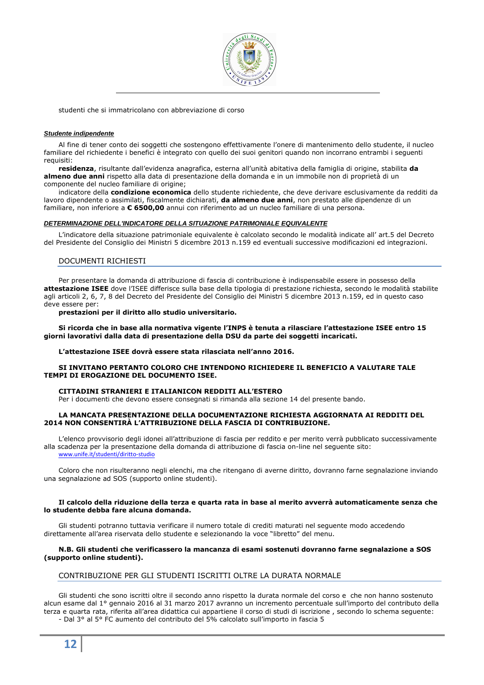

studenti che si immatricolano con abbreviazione di corso

### **Studente indipendente**

Al fine di tener conto dei soggetti che sostengono effettivamente l'onere di mantenimento dello studente, il nucleo familiare del richiedente i benefici è integrato con quello dei suoi genitori quando non incorrano entrambi i seguenti requisiti:

**residenza**, risultante dall'evidenza anagrafica, esterna all'unità abitativa della famiglia di origine, stabilita **da almeno due anni** rispetto alla data di presentazione della domanda e in un immobile non di proprietà di un componente del nucleo familiare di origine;

indicatore della **condizione economica** dello studente richiedente, che deve derivare esclusivamente da redditi da lavoro dipendente o assimilati, fiscalmente dichiarati, **da almeno due anni**, non prestato alle dipendenze di un familiare, non inferiore a **€ 6500,00** annui con riferimento ad un nucleo familiare di una persona.

### **DETERMINAZIONE DELL'INDICATORE DELLA SITUAZIONE PATRIMONIALE EQUIVALENTE**

L'indicatore della situazione patrimoniale equivalente è calcolato secondo le modalità indicate all' art.5 del Decreto del Presidente del Consiglio dei Ministri 5 dicembre 2013 n.159 ed eventuali successive modificazioni ed integrazioni.

# DOCUMENTI RICHIESTI

Per presentare la domanda di attribuzione di fascia di contribuzione è indispensabile essere in possesso della **attestazione ISEE** dove l'ISEE differisce sulla base della tipologia di prestazione richiesta, secondo le modalità stabilite agli articoli 2, 6, 7, 8 del Decreto del Presidente del Consiglio dei Ministri 5 dicembre 2013 n.159, ed in questo caso deve essere per:

**prestazioni per il diritto allo studio universitario.**

**Si ricorda che in base alla normativa vigente l'INPS è tenuta a rilasciare l'attestazione ISEE entro 15 giorni lavorativi dalla data di presentazione della DSU da parte dei soggetti incaricati.** 

### **L'attestazione ISEE dovrà essere stata rilasciata nell'anno 2016.**

### **SI INVITANO PERTANTO COLORO CHE INTENDONO RICHIEDERE IL BENEFICIO A VALUTARE TALE TEMPI DI EROGAZIONE DEL DOCUMENTO ISEE.**

#### **CITTADINI STRANIERI E ITALIANICON REDDITI ALL'ESTERO**

Per i documenti che devono essere consegnati si rimanda alla sezione 14 del presente bando.

### **LA MANCATA PRESENTAZIONE DELLA DOCUMENTAZIONE RICHIESTA AGGIORNATA AI REDDITI DEL 2014 NON CONSENTIRÀ L'ATTRIBUZIONE DELLA FASCIA DI CONTRIBUZIONE.**

L'elenco provvisorio degli idonei all'attribuzione di fascia per reddito e per merito verrà pubblicato successivamente alla scadenza per la presentazione della domanda di attribuzione di fascia on-line nel seguente sito:

www.unife.it/studenti/diritto-studio

Coloro che non risulteranno negli elenchi, ma che ritengano di averne diritto, dovranno farne segnalazione inviando una segnalazione ad SOS (supporto online studenti).

### **Il calcolo della riduzione della terza e quarta rata in base al merito avverrà automaticamente senza che lo studente debba fare alcuna domanda.**

Gli studenti potranno tuttavia verificare il numero totale di crediti maturati nel seguente modo accedendo direttamente all'area riservata dello studente e selezionando la voce "libretto" del menu.

### **N.B. Gli studenti che verificassero la mancanza di esami sostenuti dovranno farne segnalazione a SOS (supporto online studenti).**

# CONTRIBUZIONE PER GLI STUDENTI ISCRITTI OLTRE LA DURATA NORMALE

Gli studenti che sono iscritti oltre il secondo anno rispetto la durata normale del corso e che non hanno sostenuto alcun esame dal 1° gennaio 2016 al 31 marzo 2017 avranno un incremento percentuale sull'importo del contributo della terza e quarta rata, riferita all'area didattica cui appartiene il corso di studi di iscrizione , secondo lo schema seguente: - Dal 3° al 5° FC aumento del contributo del 5% calcolato sull'importo in fascia 5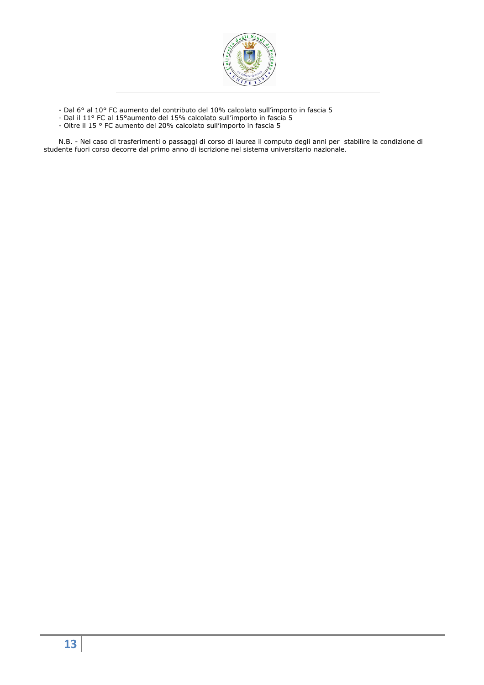

- Dal 6° al 10° FC aumento del contributo del 10% calcolato sull'importo in fascia 5

- Dal il 11° FC al 15°aumento del 15% calcolato sull'importo in fascia 5
- Oltre il 15 ° FC aumento del 20% calcolato sull'importo in fascia 5

N.B. - Nel caso di trasferimenti o passaggi di corso di laurea il computo degli anni per stabilire la condizione di studente fuori corso decorre dal primo anno di iscrizione nel sistema universitario nazionale.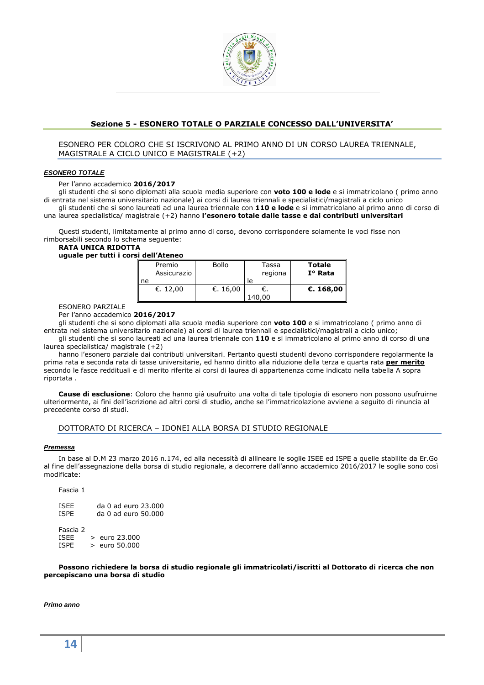

# **Sezione 5 - ESONERO TOTALE O PARZIALE CONCESSO DALL'UNIVERSITA'**

# ESONERO PER COLORO CHE SI ISCRIVONO AL PRIMO ANNO DI UN CORSO LAUREA TRIENNALE, MAGISTRALE A CICLO UNICO E MAGISTRALE (+2)

### **ESONERO TOTALE**

Per l'anno accademico **2016/2017**

gli studenti che si sono diplomati alla scuola media superiore con **voto 100 e lode** e si immatricolano ( primo anno di entrata nel sistema universitario nazionale) ai corsi di laurea triennali e specialistici/magistrali a ciclo unico gli studenti che si sono laureati ad una laurea triennale con **110 e lode** e si immatricolano al primo anno di corso di una laurea specialistica/ magistrale (+2) hanno **l'esonero totale dalle tasse e dai contributi universitari**

Questi studenti, limitatamente al primo anno di corso, devono corrispondere solamente le voci fisse non rimborsabili secondo lo schema seguente:

# **RATA UNICA RIDOTTA**

**uguale per tutti i corsi dell'Ateneo** 

| Premio<br>Assicurazio<br>ne | <b>Bollo</b> | Tassa<br>regiona<br>le | <b>Totale</b><br>$I^{\circ}$ Rata |
|-----------------------------|--------------|------------------------|-----------------------------------|
| €. 12,00                    | €. 16,00     |                        | €. 168,00                         |

ESONERO PARZIALE

Per l'anno accademico **2016/2017**

gli studenti che si sono diplomati alla scuola media superiore con **voto 100** e si immatricolano ( primo anno di entrata nel sistema universitario nazionale) ai corsi di laurea triennali e specialistici/magistrali a ciclo unico; gli studenti che si sono laureati ad una laurea triennale con **110** e si immatricolano al primo anno di corso di una laurea specialistica/ magistrale (+2)

hanno l'esonero parziale dai contributi universitari. Pertanto questi studenti devono corrispondere regolarmente la prima rata e seconda rata di tasse universitarie, ed hanno diritto alla riduzione della terza e quarta rata **per merito**  secondo le fasce reddituali e di merito riferite ai corsi di laurea di appartenenza come indicato nella tabella A sopra riportata .

**Cause di esclusione**: Coloro che hanno già usufruito una volta di tale tipologia di esonero non possono usufruirne ulteriormente, ai fini dell'iscrizione ad altri corsi di studio, anche se l'immatricolazione avviene a seguito di rinuncia al precedente corso di studi.

# DOTTORATO DI RICERCA – IDONEI ALLA BORSA DI STUDIO REGIONALE

#### **Premessa**

In base al D.M 23 marzo 2016 n.174, ed alla necessità di allineare le soglie ISEE ed ISPE a quelle stabilite da Er.Go al fine dell'assegnazione della borsa di studio regionale, a decorrere dall'anno accademico 2016/2017 le soglie sono così modificate:

Fascia 1

ISEE da 0 ad euro 23.000<br>ISPE da 0 ad euro 50.000  $da$  0 ad euro 50.000

Fascia 2<br>ISFF  $>$  euro 23.000 ISPE > euro 50.000

**Possono richiedere la borsa di studio regionale gli immatricolati/iscritti al Dottorato di ricerca che non percepiscano una borsa di studio** 

# **Primo anno**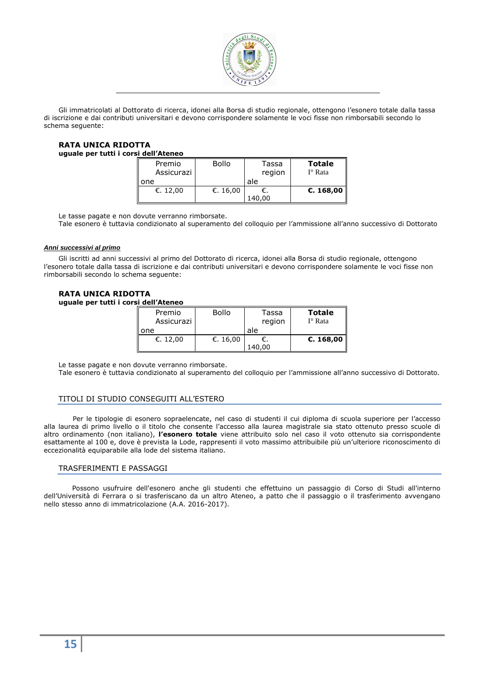

Gli immatricolati al Dottorato di ricerca, idonei alla Borsa di studio regionale, ottengono l'esonero totale dalla tassa di iscrizione e dai contributi universitari e devono corrispondere solamente le voci fisse non rimborsabili secondo lo schema seguente:

### **RATA UNICA RIDOTTA uguale per tutti i corsi dell'Ateneo**

| טטווטגער ווטש |              |        |                  |
|---------------|--------------|--------|------------------|
| Premio        | <b>Bollo</b> | Tassa  | <b>Totale</b>    |
| Assicurazi    |              | region | $I^{\circ}$ Rata |
| one           |              | ale    |                  |
| €. 12,00      | €. 16,00     |        | €. 168,00        |
|               |              | .40.00 |                  |

Le tasse pagate e non dovute verranno rimborsate.

Tale esonero è tuttavia condizionato al superamento del colloquio per l'ammissione all'anno successivo di Dottorato

# **Anni successivi al primo**

Gli iscritti ad anni successivi al primo del Dottorato di ricerca, idonei alla Borsa di studio regionale, ottengono l'esonero totale dalla tassa di iscrizione e dai contributi universitari e devono corrispondere solamente le voci fisse non rimborsabili secondo lo schema seguente:

# **RATA UNICA RIDOTTA**

**uguale per tutti i corsi dell'Ateneo** 

| Premio<br>Assicurazi | <b>Bollo</b> | Tassa<br>region | <b>Totale</b><br>$I^{\circ}$ Rata |
|----------------------|--------------|-----------------|-----------------------------------|
| l one                |              | ale             |                                   |
| €. 12,00             | €. 16,00     | 140,00          | €. 168,00                         |

Le tasse pagate e non dovute verranno rimborsate.

Tale esonero è tuttavia condizionato al superamento del colloquio per l'ammissione all'anno successivo di Dottorato.

# TITOLI DI STUDIO CONSEGUITI ALL'ESTERO

Per le tipologie di esonero sopraelencate, nel caso di studenti il cui diploma di scuola superiore per l'accesso alla laurea di primo livello o il titolo che consente l'accesso alla laurea magistrale sia stato ottenuto presso scuole di altro ordinamento (non italiano), **l'esonero totale** viene attribuito solo nel caso il voto ottenuto sia corrispondente esattamente al 100 e, dove è prevista la Lode, rappresenti il voto massimo attribuibile più un'ulteriore riconoscimento di eccezionalità equiparabile alla lode del sistema italiano.

# TRASFERIMENTI E PASSAGGI

Possono usufruire dell'esonero anche gli studenti che effettuino un passaggio di Corso di Studi all'interno dell'Università di Ferrara o si trasferiscano da un altro Ateneo, a patto che il passaggio o il trasferimento avvengano nello stesso anno di immatricolazione (A.A. 2016-2017).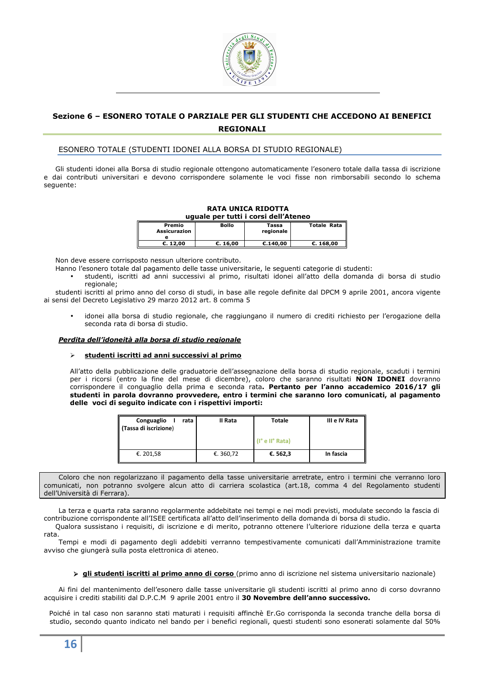

# **Sezione 6 – ESONERO TOTALE O PARZIALE PER GLI STUDENTI CHE ACCEDONO AI BENEFICI REGIONALI**

# ESONERO TOTALE (STUDENTI IDONEI ALLA BORSA DI STUDIO REGIONALE)

Gli studenti idonei alla Borsa di studio regionale ottengono automaticamente l'esonero totale dalla tassa di iscrizione e dai contributi universitari e devono corrispondere solamente le voci fisse non rimborsabili secondo lo schema seguente:

|                               | <b>RATA UNICA RIDOTTA</b><br>uguale per tutti i corsi dell'Ateneo |                    |                    |  |  |  |
|-------------------------------|-------------------------------------------------------------------|--------------------|--------------------|--|--|--|
| Premio<br><b>Assicurazion</b> | <b>Bollo</b>                                                      | Tassa<br>regionale | <b>Totale Rata</b> |  |  |  |
| C. 12,00                      | C. 16,00                                                          | €.140,00           | C.168,00           |  |  |  |

Non deve essere corrisposto nessun ulteriore contributo.

- Hanno l'esonero totale dal pagamento delle tasse universitarie, le seguenti categorie di studenti:
	- studenti, iscritti ad anni successivi al primo, risultati idonei all'atto della domanda di borsa di studio regionale;

studenti iscritti al primo anno del corso di studi, in base alle regole definite dal DPCM 9 aprile 2001, ancora vigente ai sensi del Decreto Legislativo 29 marzo 2012 art. 8 comma 5

• idonei alla borsa di studio regionale, che raggiungano il numero di crediti richiesto per l'erogazione della seconda rata di borsa di studio.

### *Perdita dell'idoneità alla borsa di studio regionale*

# **studenti iscritti ad anni successivi al primo**

All'atto della pubblicazione delle graduatorie dell'assegnazione della borsa di studio regionale, scaduti i termini per i ricorsi (entro la fine del mese di dicembre), coloro che saranno risultati **NON IDONEI** dovranno corrispondere il conguaglio della prima e seconda rata**. Pertanto per l'anno accademico 2016/17 gli studenti in parola dovranno provvedere, entro i termini che saranno loro comunicati, al pagamento delle voci di seguito indicate con i rispettivi importi:** 

| Conguaglio<br>rata<br>   (Tassa di iscrizione) | II Rata   | Totale          | III e IV Rata |
|------------------------------------------------|-----------|-----------------|---------------|
|                                                |           | (I° e II° Rata) |               |
| €. 201,58                                      | €. 360,72 | €. 562,3        | In fascia     |

Coloro che non regolarizzano il pagamento della tasse universitarie arretrate, entro i termini che verranno loro comunicati, non potranno svolgere alcun atto di carriera scolastica (art.18, comma 4 del Regolamento studenti dell'Università di Ferrara).

La terza e quarta rata saranno regolarmente addebitate nei tempi e nei modi previsti, modulate secondo la fascia di contribuzione corrispondente all'ISEE certificata all'atto dell'inserimento della domanda di borsa di studio.

Qualora sussistano i requisiti, di iscrizione e di merito, potranno ottenere l'ulteriore riduzione della terza e quarta rata.

Tempi e modi di pagamento degli addebiti verranno tempestivamente comunicati dall'Amministrazione tramite avviso che giungerà sulla posta elettronica di ateneo.

 **gli studenti iscritti al primo anno di corso** (primo anno di iscrizione nel sistema universitario nazionale)

Ai fini del mantenimento dell'esonero dalle tasse universitarie gli studenti iscritti al primo anno di corso dovranno acquisire i crediti stabiliti dal D.P.C.M 9 aprile 2001 entro il **30 Novembre dell'anno successivo.**

Poiché in tal caso non saranno stati maturati i requisiti affinchè Er.Go corrisponda la seconda tranche della borsa di studio, secondo quanto indicato nel bando per i benefici regionali, questi studenti sono esonerati solamente dal 50%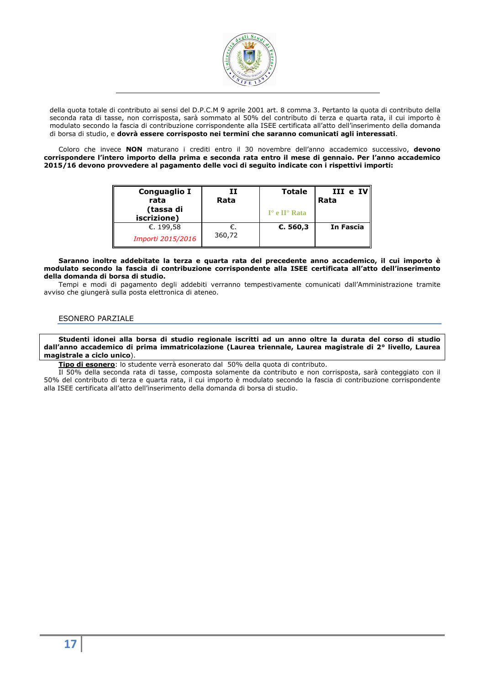

della quota totale di contributo ai sensi del D.P.C.M 9 aprile 2001 art. 8 comma 3. Pertanto la quota di contributo della seconda rata di tasse, non corrisposta, sarà sommato al 50% del contributo di terza e quarta rata, il cui importo è modulato secondo la fascia di contribuzione corrispondente alla ISEE certificata all'atto dell'inserimento della domanda di borsa di studio, e **dovrà essere corrisposto nei termini che saranno comunicati agli interessati**.

Coloro che invece **NON** maturano i crediti entro il 30 novembre dell'anno accademico successivo, **devono corrispondere l'intero importo della prima e seconda rata entro il mese di gennaio. Per l'anno accademico 2015/16 devono provvedere al pagamento delle voci di seguito indicate con i rispettivi importi:** 

| Conguaglio I<br>rata<br>(tassa di<br>iscrizione) | II<br>Rata   | <b>Totale</b><br>$I^{\circ}$ e $II^{\circ}$ Rata | III e IV<br>Rata |
|--------------------------------------------------|--------------|--------------------------------------------------|------------------|
| €. 199,58<br>Importi 2015/2016                   | €.<br>360,72 | €. 560,3                                         | In Fascia        |

#### **Saranno inoltre addebitate la terza e quarta rata del precedente anno accademico, il cui importo è modulato secondo la fascia di contribuzione corrispondente alla ISEE certificata all'atto dell'inserimento della domanda di borsa di studio.**

Tempi e modi di pagamento degli addebiti verranno tempestivamente comunicati dall'Amministrazione tramite avviso che giungerà sulla posta elettronica di ateneo.

# ESONERO PARZIALE

**Studenti idonei alla borsa di studio regionale iscritti ad un anno oltre la durata del corso di studio dall'anno accademico di prima immatricolazione (Laurea triennale, Laurea magistrale di 2° livello, Laurea magistrale a ciclo unico**).

**Tipo di esonero**: lo studente verrà esonerato dal 50% della quota di contributo.

Il 50% della seconda rata di tasse, composta solamente da contributo e non corrisposta, sarà conteggiato con il 50% del contributo di terza e quarta rata, il cui importo è modulato secondo la fascia di contribuzione corrispondente alla ISEE certificata all'atto dell'inserimento della domanda di borsa di studio.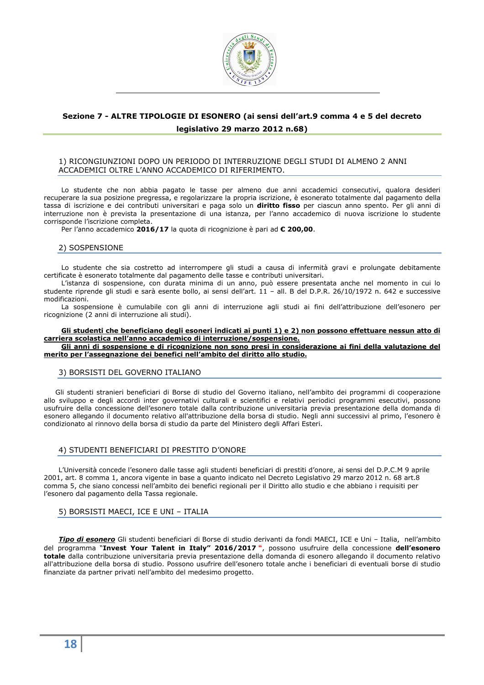

# **Sezione 7 - ALTRE TIPOLOGIE DI ESONERO (ai sensi dell'art.9 comma 4 e 5 del decreto legislativo 29 marzo 2012 n.68)**

# 1) RICONGIUNZIONI DOPO UN PERIODO DI INTERRUZIONE DEGLI STUDI DI ALMENO 2 ANNI ACCADEMICI OLTRE L'ANNO ACCADEMICO DI RIFERIMENTO.

Lo studente che non abbia pagato le tasse per almeno due anni accademici consecutivi, qualora desideri recuperare la sua posizione pregressa, e regolarizzare la propria iscrizione, è esonerato totalmente dal pagamento della tassa di iscrizione e dei contributi universitari e paga solo un **diritto fisso** per ciascun anno spento. Per gli anni di interruzione non è prevista la presentazione di una istanza, per l'anno accademico di nuova iscrizione lo studente corrisponde l'iscrizione completa.

Per l'anno accademico **2016/17** la quota di ricognizione è pari ad **€ 200,00**.

# 2) SOSPENSIONE

Lo studente che sia costretto ad interrompere gli studi a causa di infermità gravi e prolungate debitamente certificate è esonerato totalmente dal pagamento delle tasse e contributi universitari.

L'istanza di sospensione, con durata minima di un anno, può essere presentata anche nel momento in cui lo studente riprende gli studi e sarà esente bollo, ai sensi dell'art. 11 – all. B del D.P.R. 26/10/1972 n. 642 e successive modificazioni.

La sospensione è cumulabile con gli anni di interruzione agli studi ai fini dell'attribuzione dell'esonero per ricognizione (2 anni di interruzione ali studi).

# **Gli studenti che beneficiano degli esoneri indicati ai punti 1) e 2) non possono effettuare nessun atto di carriera scolastica nell'anno accademico di interruzione/sospensione.**

**Gli anni di sospensione e di ricognizione non sono presi in considerazione ai fini della valutazione del merito per l'assegnazione dei benefici nell'ambito del diritto allo studio.** 

# 3) BORSISTI DEL GOVERNO ITALIANO

Gli studenti stranieri beneficiari di Borse di studio del Governo italiano, nell'ambito dei programmi di cooperazione allo sviluppo e degli accordi inter governativi culturali e scientifici e relativi periodici programmi esecutivi, possono usufruire della concessione dell'esonero totale dalla contribuzione universitaria previa presentazione della domanda di esonero allegando il documento relativo all'attribuzione della borsa di studio. Negli anni successivi al primo, l'esonero è condizionato al rinnovo della borsa di studio da parte del Ministero degli Affari Esteri.

# 4) STUDENTI BENEFICIARI DI PRESTITO D'ONORE

L'Università concede l'esonero dalle tasse agli studenti beneficiari di prestiti d'onore, ai sensi del D.P.C.M 9 aprile 2001, art. 8 comma 1, ancora vigente in base a quanto indicato nel Decreto Legislativo 29 marzo 2012 n. 68 art.8 comma 5, che siano concessi nell'ambito dei benefici regionali per il Diritto allo studio e che abbiano i requisiti per l'esonero dal pagamento della Tassa regionale.

# 5) BORSISTI MAECI, ICE E UNI – ITALIA

*Tipo di esonero* Gli studenti beneficiari di Borse di studio derivanti da fondi MAECI, ICE e Uni – Italia, nell'ambito del programma "**Invest Your Talent in Italy" 2016/2017 "**, possono usufruire della concessione **dell'esonero totale** dalla contribuzione universitaria previa presentazione della domanda di esonero allegando il documento relativo all'attribuzione della borsa di studio. Possono usufrire dell'esonero totale anche i beneficiari di eventuali borse di studio finanziate da partner privati nell'ambito del medesimo progetto.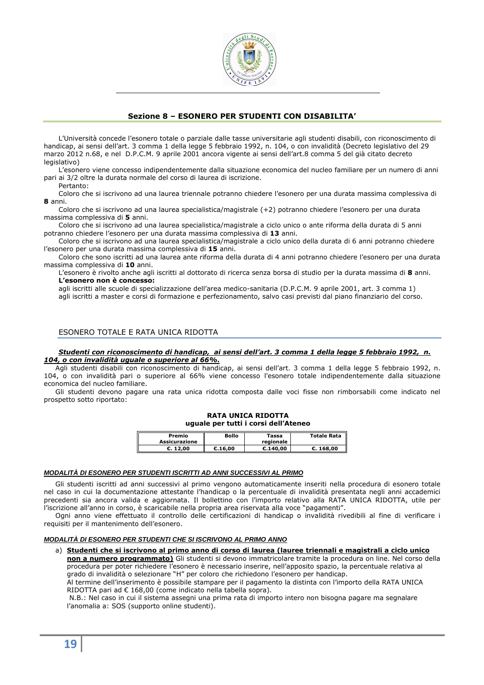

# **Sezione 8 – ESONERO PER STUDENTI CON DISABILITA'**

L'Università concede l'esonero totale o parziale dalle tasse universitarie agli studenti disabili, con riconoscimento di handicap, ai sensi dell'art. 3 comma 1 della legge 5 febbraio 1992, n. 104, o con invalidità (Decreto legislativo del 29 marzo 2012 n.68, e nel D.P.C.M. 9 aprile 2001 ancora vigente ai sensi dell'art.8 comma 5 del già citato decreto legislativo)

L'esonero viene concesso indipendentemente dalla situazione economica del nucleo familiare per un numero di anni pari ai 3/2 oltre la durata normale del corso di laurea di iscrizione.

Pertanto:

Coloro che si iscrivono ad una laurea triennale potranno chiedere l'esonero per una durata massima complessiva di **8** anni.

Coloro che si iscrivono ad una laurea specialistica/magistrale (+2) potranno chiedere l'esonero per una durata massima complessiva di **5** anni.

Coloro che si iscrivono ad una laurea specialistica/magistrale a ciclo unico o ante riforma della durata di 5 anni potranno chiedere l'esonero per una durata massima complessiva di **13** anni.

Coloro che si iscrivono ad una laurea specialistica/magistrale a ciclo unico della durata di 6 anni potranno chiedere l'esonero per una durata massima complessiva di **15** anni.

Coloro che sono iscritti ad una laurea ante riforma della durata di 4 anni potranno chiedere l'esonero per una durata massima complessiva di **10** anni.

L'esonero è rivolto anche agli iscritti al dottorato di ricerca senza borsa di studio per la durata massima di **8** anni. **L'esonero non è concesso:**

agli iscritti alle scuole di specializzazione dell'area medico-sanitaria (D.P.C.M. 9 aprile 2001, art. 3 comma 1) agli iscritti a master e corsi di formazione e perfezionamento, salvo casi previsti dal piano finanziario del corso.

# ESONERO TOTALE E RATA UNICA RIDOTTA

#### *Studenti con riconoscimento di handicap, ai sensi dell'art. 3 comma 1 della legge 5 febbraio 1992, n. 104, o con invalidità uguale o superiore al 66%.*

Agli studenti disabili con riconoscimento di handicap, ai sensi dell'art. 3 comma 1 della legge 5 febbraio 1992, n. 104, o con invalidità pari o superiore al 66% viene concesso l'esonero totale indipendentemente dalla situazione economica del nucleo familiare.

Gli studenti devono pagare una rata unica ridotta composta dalle voci fisse non rimborsabili come indicato nel prospetto sotto riportato:

**RATA UNICA RIDOTTA uguale per tutti i corsi dell'Ateneo** 

| Premio<br>Assicurazione | Bollo   | Tassa<br>regionale | <b>Totale Rata</b> |
|-------------------------|---------|--------------------|--------------------|
| €. 12.00                | €.16.00 | C.140.00           | C.168.00           |

# **MODALITÀ DI ESONERO PER STUDENTI ISCRITTI AD ANNI SUCCESSIVI AL PRIMO**

Gli studenti iscritti ad anni successivi al primo vengono automaticamente inseriti nella procedura di esonero totale nel caso in cui la documentazione attestante l'handicap o la percentuale di invalidità presentata negli anni accademici precedenti sia ancora valida e aggiornata. Il bollettino con l'importo relativo alla RATA UNICA RIDOTTA, utile per l'iscrizione all'anno in corso, è scaricabile nella propria area riservata alla voce "pagamenti".

Ogni anno viene effettuato il controllo delle certificazioni di handicap o invalidità rivedibili al fine di verificare i requisiti per il mantenimento dell'esonero.

# **MODALITÀ DI ESONERO PER STUDENTI CHE SI ISCRIVONO AL PRIMO ANNO**

a) **Studenti che si iscrivono al primo anno di corso di laurea (lauree triennali e magistrali a ciclo unico non a numero programmato)** Gli studenti si devono immatricolare tramite la procedura on line. Nel corso della procedura per poter richiedere l'esonero è necessario inserire, nell'apposito spazio, la percentuale relativa al grado di invalidità o selezionare "H" per coloro che richiedono l'esonero per handicap.

Al termine dell'inserimento è possibile stampare per il pagamento la distinta con l'importo della RATA UNICA RIDOTTA pari ad € 168,00 (come indicato nella tabella sopra).

 N.B.: Nel caso in cui il sistema assegni una prima rata di importo intero non bisogna pagare ma segnalare l'anomalia a: SOS (supporto online studenti).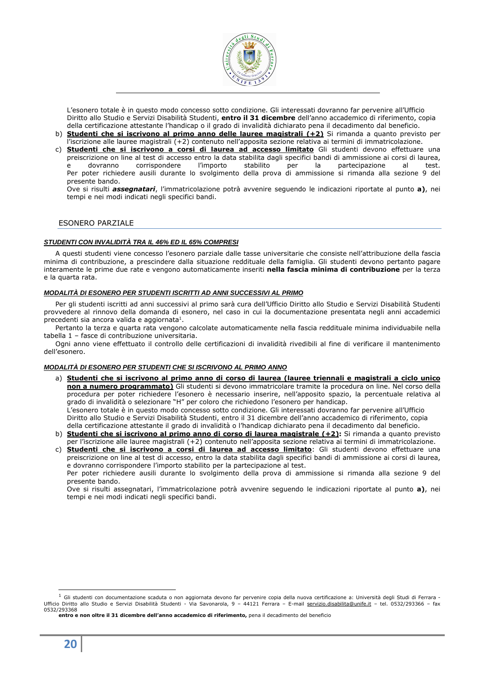

L'esonero totale è in questo modo concesso sotto condizione. Gli interessati dovranno far pervenire all'Ufficio Diritto allo Studio e Servizi Disabilità Studenti, **entro il 31 dicembre** dell'anno accademico di riferimento, copia della certificazione attestante l'handicap o il grado di invalidità dichiarato pena il decadimento dal beneficio.

- b) **Studenti che si iscrivono al primo anno delle lauree magistrali (+2)** Si rimanda a quanto previsto per l'iscrizione alle lauree magistrali (+2) contenuto nell'apposita sezione relativa ai termini di immatricolazione.
- c) **Studenti che si iscrivono a corsi di laurea ad accesso limitato** Gli studenti devono effettuare una preiscrizione on line al test di accesso entro la data stabilita dagli specifici bandi di ammissione ai corsi di laurea, e dovranno corrispondere l'importo stabilito per la partecipazione al test. Per poter richiedere ausili durante lo svolgimento della prova di ammissione si rimanda alla sezione 9 del presente bando.

Ove si risulti *assegnatari*, l'immatricolazione potrà avvenire seguendo le indicazioni riportate al punto **a)**, nei tempi e nei modi indicati negli specifici bandi.

# ESONERO PARZIALE

# **STUDENTI CON INVALIDITÀ TRA IL 46% ED IL 65% COMPRESI**

A questi studenti viene concesso l'esonero parziale dalle tasse universitarie che consiste nell'attribuzione della fascia minima di contribuzione, a prescindere dalla situazione reddituale della famiglia. Gli studenti devono pertanto pagare interamente le prime due rate e vengono automaticamente inseriti **nella fascia minima di contribuzione** per la terza e la quarta rata.

# **MODALITÀ DI ESONERO PER STUDENTI ISCRITTI AD ANNI SUCCESSIVI AL PRIMO**

Per gli studenti iscritti ad anni successivi al primo sarà cura dell'Ufficio Diritto allo Studio e Servizi Disabilità Studenti provvedere al rinnovo della domanda di esonero, nel caso in cui la documentazione presentata negli anni accademici precedenti sia ancora valida e aggiornata<sup>1</sup>.

Pertanto la terza e quarta rata vengono calcolate automaticamente nella fascia reddituale minima individuabile nella tabella 1 – fasce di contribuzione universitaria.

Ogni anno viene effettuato il controllo delle certificazioni di invalidità rivedibili al fine di verificare il mantenimento dell'esonero.

# **MODALITÀ DI ESONERO PER STUDENTI CHE SI ISCRIVONO AL PRIMO ANNO**

- a) **Studenti che si iscrivono al primo anno di corso di laurea (lauree triennali e magistrali a ciclo unico non a numero programmato)** Gli studenti si devono immatricolare tramite la procedura on line. Nel corso della procedura per poter richiedere l'esonero è necessario inserire, nell'apposito spazio, la percentuale relativa al grado di invalidità o selezionare "H" per coloro che richiedono l'esonero per handicap. L'esonero totale è in questo modo concesso sotto condizione. Gli interessati dovranno far pervenire all'Ufficio Diritto allo Studio e Servizi Disabilità Studenti, entro il 31 dicembre dell'anno accademico di riferimento, copia della certificazione attestante il grado di invalidità o l'handicap dichiarato pena il decadimento dal beneficio.
- b) **Studenti che si iscrivono al primo anno di corso di laurea magistrale (+2):** Si rimanda a quanto previsto per l'iscrizione alle lauree magistrali (+2) contenuto nell'apposita sezione relativa ai termini di immatricolazione.

c) **Studenti che si iscrivono a corsi di laurea ad accesso limitato**: Gli studenti devono effettuare una preiscrizione on line al test di accesso, entro la data stabilita dagli specifici bandi di ammissione ai corsi di laurea, e dovranno corrispondere l'importo stabilito per la partecipazione al test. Per poter richiedere ausili durante lo svolgimento della prova di ammissione si rimanda alla sezione 9 del presente bando.

Ove si risulti assegnatari, l'immatricolazione potrà avvenire seguendo le indicazioni riportate al punto **a)**, nei tempi e nei modi indicati negli specifici bandi.

ī

 $<sup>1</sup>$  Gli studenti con documentazione scaduta o non aggiornata devono far pervenire copia della nuova certificazione a: Università degli Studi di Ferrara -</sup> Ufficio Diritto allo Studio e Servizi Disabilità Studenti - Via Savonarola, 9 – 44121 Ferrara – E-mail servizio.disabilita@unife.it – tel. 0532/293366 – fax 0532/293368

**entro e non oltre il 31 dicembre dell'anno accademico di riferimento,** pena il decadimento del beneficio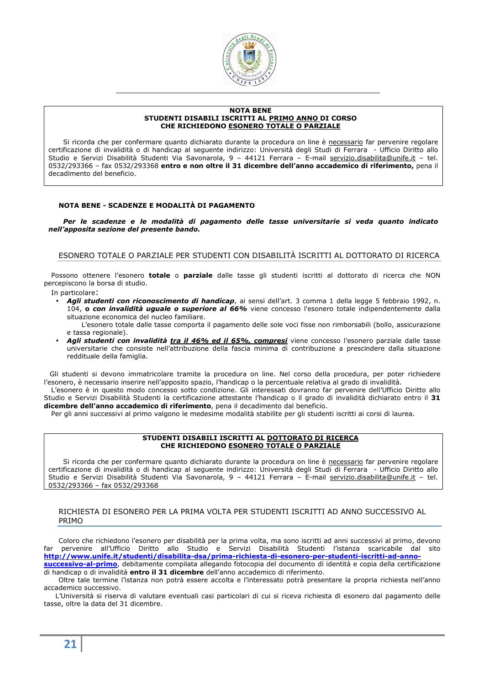

### **NOTA BENE STUDENTI DISABILI ISCRITTI AL PRIMO ANNO DI CORSO CHE RICHIEDONO ESONERO TOTALE O PARZIALE**

Si ricorda che per confermare quanto dichiarato durante la procedura on line è necessario far pervenire regolare certificazione di invalidità o di handicap al seguente indirizzo: Università degli Studi di Ferrara - Ufficio Diritto allo Studio e Servizi Disabilità Studenti Via Savonarola, 9 - 44121 Ferrara - E-mail servizio.disabilita@unife.it - tel. 0532/293366 – fax 0532/293368 **entro e non oltre il 31 dicembre dell'anno accademico di riferimento,** pena il decadimento del beneficio.

# **NOTA BENE - SCADENZE E MODALITÀ DI PAGAMENTO**

*Per le scadenze e le modalità di pagamento delle tasse universitarie si veda quanto indicato nell'apposita sezione del presente bando.* 

# ESONERO TOTALE O PARZIALE PER STUDENTI CON DISABILITÀ ISCRITTI AL DOTTORATO DI RICERCA

Possono ottenere l'esonero **totale** o **parziale** dalle tasse gli studenti iscritti al dottorato di ricerca che NON percepiscono la borsa di studio.

In particolare:

• *Agli studenti con riconoscimento di handicap*, ai sensi dell'art. 3 comma 1 della legge 5 febbraio 1992, n. 104, **o** *con invalidità uguale o superiore al 66%* viene concesso l'esonero totale indipendentemente dalla situazione economica del nucleo familiare.

L'esonero totale dalle tasse comporta il pagamento delle sole voci fisse non rimborsabili (bollo, assicurazione e tassa regionale).

• *Agli studenti con invalidità tra il 46% ed il 65%, compresi* viene concesso l'esonero parziale dalle tasse universitarie che consiste nell'attribuzione della fascia minima di contribuzione a prescindere dalla situazione reddituale della famiglia.

Gli studenti si devono immatricolare tramite la procedura on line. Nel corso della procedura, per poter richiedere l'esonero, è necessario inserire nell'apposito spazio, l'handicap o la percentuale relativa al grado di invalidità.

L'esonero è in questo modo concesso sotto condizione. Gli interessati dovranno far pervenire dell'Ufficio Diritto allo Studio e Servizi Disabilità Studenti la certificazione attestante l'handicap o il grado di invalidità dichiarato entro il **31 dicembre dell'anno accademico di riferimento**, pena il decadimento dal beneficio.

Per gli anni successivi al primo valgono le medesime modalità stabilite per gli studenti iscritti ai corsi di laurea.

### **STUDENTI DISABILI ISCRITTI AL DOTTORATO DI RICERCA CHE RICHIEDONO ESONERO TOTALE O PARZIALE**

Si ricorda che per confermare quanto dichiarato durante la procedura on line è necessario far pervenire regolare certificazione di invalidità o di handicap al seguente indirizzo: Università degli Studi di Ferrara - Ufficio Diritto allo Studio e Servizi Disabilità Studenti Via Savonarola, 9 - 44121 Ferrara - E-mail servizio.disabilita@unife.it - tel. 0532/293366 – fax 0532/293368

# RICHIESTA DI ESONERO PER LA PRIMA VOLTA PER STUDENTI ISCRITTI AD ANNO SUCCESSIVO AL PRIMO

Coloro che richiedono l'esonero per disabilità per la prima volta, ma sono iscritti ad anni successivi al primo, devono far pervenire all'Ufficio Diritto allo Studio e Servizi Disabilità Studenti l'istanza scaricabile dal sito **http://www.unife.it/studenti/disabilita-dsa/prima-richiesta-di-esonero-per-studenti-iscritti-ad-annosuccessivo-al-primo**, debitamente compilata allegando fotocopia del documento di identità e copia della certificazione

di handicap o di invalidità **entro il 31 dicembre** dell'anno accademico di riferimento. Oltre tale termine l'istanza non potrà essere accolta e l'interessato potrà presentare la propria richiesta nell'anno accademico successivo.

L'Università si riserva di valutare eventuali casi particolari di cui si riceva richiesta di esonero dal pagamento delle tasse, oltre la data del 31 dicembre.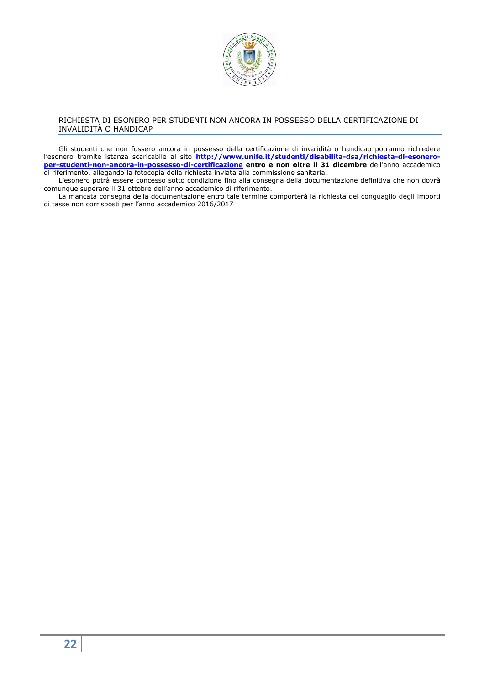

# RICHIESTA DI ESONERO PER STUDENTI NON ANCORA IN POSSESSO DELLA CERTIFICAZIONE DI INVALIDITÀ O HANDICAP

Gli studenti che non fossero ancora in possesso della certificazione di invalidità o handicap potranno richiedere l'esonero tramite istanza scaricabile al sito **http://www.unife.it/studenti/disabilita-dsa/richiesta-di-esoneroper-studenti-non-ancora-in-possesso-di-certificazione entro e non oltre il 31 dicembre** dell'anno accademico di riferimento, allegando la fotocopia della richiesta inviata alla commissione sanitaria.

L'esonero potrà essere concesso sotto condizione fino alla consegna della documentazione definitiva che non dovrà comunque superare il 31 ottobre dell'anno accademico di riferimento.

La mancata consegna della documentazione entro tale termine comporterà la richiesta del conguaglio degli importi di tasse non corrisposti per l'anno accademico 2016/2017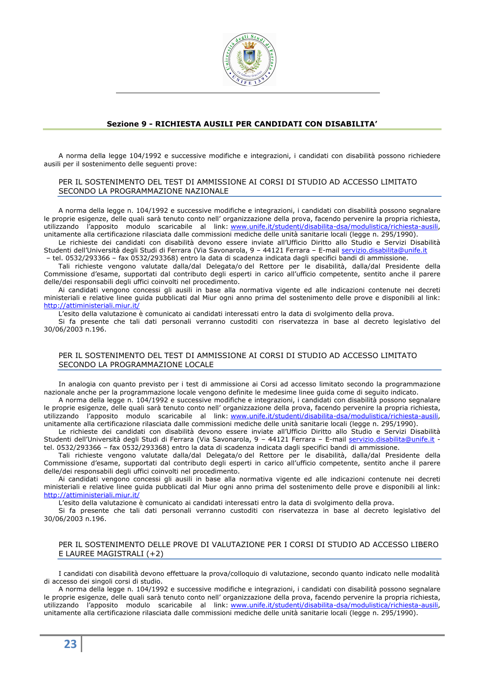

# **Sezione 9 - RICHIESTA AUSILI PER CANDIDATI CON DISABILITA'**

A norma della legge 104/1992 e successive modifiche e integrazioni, i candidati con disabilità possono richiedere ausili per il sostenimento delle seguenti prove:

# PER IL SOSTENIMENTO DEL TEST DI AMMISSIONE AI CORSI DI STUDIO AD ACCESSO LIMITATO SECONDO LA PROGRAMMAZIONE NAZIONALE

A norma della legge n. 104/1992 e successive modifiche e integrazioni, i candidati con disabilità possono segnalare le proprie esigenze, delle quali sarà tenuto conto nell' organizzazione della prova, facendo pervenire la propria richiesta, utilizzando l'apposito modulo scaricabile al link: www.unife.it/studenti/disabilita-dsa/modulistica/richiesta-ausili, unitamente alla certificazione rilasciata dalle commissioni mediche delle unità sanitarie locali (legge n. 295/1990).

Le richieste dei candidati con disabilità devono essere inviate all'Ufficio Diritto allo Studio e Servizi Disabilità Studenti dell'Università degli Studi di Ferrara (Via Savonarola, 9 - 44121 Ferrara - E-mail servizio.disabilita@unife.it

– tel. 0532/293366 – fax 0532/293368) entro la data di scadenza indicata dagli specifici bandi di ammissione.

Tali richieste vengono valutate dalla/dal Delegata/o del Rettore per le disabilità, dalla/dal Presidente della Commissione d'esame, supportati dal contributo degli esperti in carico all'ufficio competente, sentito anche il parere delle/dei responsabili degli uffici coinvolti nel procedimento.

Ai candidati vengono concessi gli ausili in base alla normativa vigente ed alle indicazioni contenute nei decreti ministeriali e relative linee guida pubblicati dal Miur ogni anno prima del sostenimento delle prove e disponibili al link: http://attiministeriali.miur.it/

L'esito della valutazione è comunicato ai candidati interessati entro la data di svolgimento della prova.

Si fa presente che tali dati personali verranno custoditi con riservatezza in base al decreto legislativo del 30/06/2003 n.196.

# PER IL SOSTENIMENTO DEL TEST DI AMMISSIONE AI CORSI DI STUDIO AD ACCESSO LIMITATO SECONDO LA PROGRAMMAZIONE LOCALE

In analogia con quanto previsto per i test di ammissione ai Corsi ad accesso limitato secondo la programmazione nazionale anche per la programmazione locale vengono definite le medesime linee guida come di seguito indicato.

A norma della legge n. 104/1992 e successive modifiche e integrazioni, i candidati con disabilità possono segnalare le proprie esigenze, delle quali sarà tenuto conto nell' organizzazione della prova, facendo pervenire la propria richiesta, utilizzando l'apposito modulo scaricabile al link: www.unife.it/studenti/disabilita-dsa/modulistica/richiesta-ausili, unitamente alla certificazione rilasciata dalle commissioni mediche delle unità sanitarie locali (legge n. 295/1990).

Le richieste dei candidati con disabilità devono essere inviate all'Ufficio Diritto allo Studio e Servizi Disabilità Studenti dell'Università degli Studi di Ferrara (Via Savonarola, 9 - 44121 Ferrara - E-mail servizio.disabilita@unife.it tel. 0532/293366 – fax 0532/293368) entro la data di scadenza indicata dagli specifici bandi di ammissione.

Tali richieste vengono valutate dalla/dal Delegata/o del Rettore per le disabilità, dalla/dal Presidente della Commissione d'esame, supportati dal contributo degli esperti in carico all'ufficio competente, sentito anche il parere delle/dei responsabili degli uffici coinvolti nel procedimento.

Ai candidati vengono concessi gli ausili in base alla normativa vigente ed alle indicazioni contenute nei decreti ministeriali e relative linee guida pubblicati dal Miur ogni anno prima del sostenimento delle prove e disponibili al link: http://attiministeriali.miur.it/

L'esito della valutazione è comunicato ai candidati interessati entro la data di svolgimento della prova.

Si fa presente che tali dati personali verranno custoditi con riservatezza in base al decreto legislativo del 30/06/2003 n.196.

# PER IL SOSTENIMENTO DELLE PROVE DI VALUTAZIONE PER I CORSI DI STUDIO AD ACCESSO LIBERO E LAUREE MAGISTRALI (+2)

I candidati con disabilità devono effettuare la prova/colloquio di valutazione, secondo quanto indicato nelle modalità di accesso dei singoli corsi di studio.

A norma della legge n. 104/1992 e successive modifiche e integrazioni, i candidati con disabilità possono segnalare le proprie esigenze, delle quali sarà tenuto conto nell' organizzazione della prova, facendo pervenire la propria richiesta, utilizzando l'apposito modulo scaricabile al link: www.unife.it/studenti/disabilita-dsa/modulistica/richiesta-ausili, unitamente alla certificazione rilasciata dalle commissioni mediche delle unità sanitarie locali (legge n. 295/1990).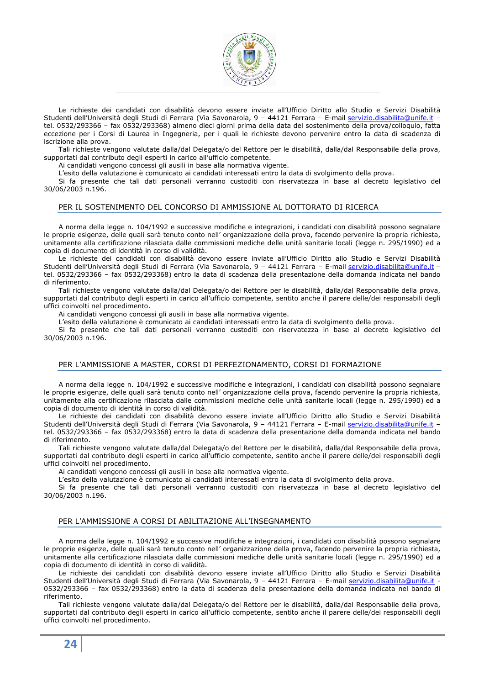

Le richieste dei candidati con disabilità devono essere inviate all'Ufficio Diritto allo Studio e Servizi Disabilità Studenti dell'Università degli Studi di Ferrara (Via Savonarola, 9 - 44121 Ferrara - E-mail servizio.disabilita@unife.it tel. 0532/293366 – fax 0532/293368) almeno dieci giorni prima della data del sostenimento della prova/colloquio, fatta eccezione per i Corsi di Laurea in Ingegneria, per i quali le richieste devono pervenire entro la data di scadenza di iscrizione alla prova.

Tali richieste vengono valutate dalla/dal Delegata/o del Rettore per le disabilità, dalla/dal Responsabile della prova, supportati dal contributo degli esperti in carico all'ufficio competente.

Ai candidati vengono concessi gli ausili in base alla normativa vigente.

L'esito della valutazione è comunicato ai candidati interessati entro la data di svolgimento della prova.

Si fa presente che tali dati personali verranno custoditi con riservatezza in base al decreto legislativo del 30/06/2003 n.196.

### PER IL SOSTENIMENTO DEL CONCORSO DI AMMISSIONE AL DOTTORATO DI RICERCA

A norma della legge n. 104/1992 e successive modifiche e integrazioni, i candidati con disabilità possono segnalare le proprie esigenze, delle quali sarà tenuto conto nell' organizzazione della prova, facendo pervenire la propria richiesta, unitamente alla certificazione rilasciata dalle commissioni mediche delle unità sanitarie locali (legge n. 295/1990) ed a copia di documento di identità in corso di validità.

Le richieste dei candidati con disabilità devono essere inviate all'Ufficio Diritto allo Studio e Servizi Disabilità Studenti dell'Università degli Studi di Ferrara (Via Savonarola, 9 - 44121 Ferrara - E-mail servizio.disabilita@unife.it tel. 0532/293366 – fax 0532/293368) entro la data di scadenza della presentazione della domanda indicata nel bando di riferimento.

Tali richieste vengono valutate dalla/dal Delegata/o del Rettore per le disabilità, dalla/dal Responsabile della prova, supportati dal contributo degli esperti in carico all'ufficio competente, sentito anche il parere delle/dei responsabili degli uffici coinvolti nel procedimento.

Ai candidati vengono concessi gli ausili in base alla normativa vigente.

L'esito della valutazione è comunicato ai candidati interessati entro la data di svolgimento della prova.

Si fa presente che tali dati personali verranno custoditi con riservatezza in base al decreto legislativo del 30/06/2003 n.196.

#### PER L'AMMISSIONE A MASTER, CORSI DI PERFEZIONAMENTO, CORSI DI FORMAZIONE

A norma della legge n. 104/1992 e successive modifiche e integrazioni, i candidati con disabilità possono segnalare le proprie esigenze, delle quali sarà tenuto conto nell' organizzazione della prova, facendo pervenire la propria richiesta, unitamente alla certificazione rilasciata dalle commissioni mediche delle unità sanitarie locali (legge n. 295/1990) ed a copia di documento di identità in corso di validità.

Le richieste dei candidati con disabilità devono essere inviate all'Ufficio Diritto allo Studio e Servizi Disabilità Studenti dell'Università degli Studi di Ferrara (Via Savonarola, 9 – 44121 Ferrara – E-mail servizio.disabilita@unife.it – tel. 0532/293366 – fax 0532/293368) entro la data di scadenza della presentazione della domanda indicata nel bando di riferimento.

Tali richieste vengono valutate dalla/dal Delegata/o del Rettore per le disabilità, dalla/dal Responsabile della prova, supportati dal contributo degli esperti in carico all'ufficio competente, sentito anche il parere delle/dei responsabili degli uffici coinvolti nel procedimento.

Ai candidati vengono concessi gli ausili in base alla normativa vigente.

L'esito della valutazione è comunicato ai candidati interessati entro la data di svolgimento della prova.

Si fa presente che tali dati personali verranno custoditi con riservatezza in base al decreto legislativo del 30/06/2003 n.196.

# PER L'AMMISSIONE A CORSI DI ABILITAZIONE ALL'INSEGNAMENTO

A norma della legge n. 104/1992 e successive modifiche e integrazioni, i candidati con disabilità possono segnalare le proprie esigenze, delle quali sarà tenuto conto nell' organizzazione della prova, facendo pervenire la propria richiesta, unitamente alla certificazione rilasciata dalle commissioni mediche delle unità sanitarie locali (legge n. 295/1990) ed a copia di documento di identità in corso di validità.

Le richieste dei candidati con disabilità devono essere inviate all'Ufficio Diritto allo Studio e Servizi Disabilità Studenti dell'Università degli Studi di Ferrara (Via Savonarola, 9 - 44121 Ferrara - E-mail servizio.disabilita@unife.it -0532/293366 – fax 0532/293368) entro la data di scadenza della presentazione della domanda indicata nel bando di riferimento.

Tali richieste vengono valutate dalla/dal Delegata/o del Rettore per le disabilità, dalla/dal Responsabile della prova, supportati dal contributo degli esperti in carico all'ufficio competente, sentito anche il parere delle/dei responsabili degli uffici coinvolti nel procedimento.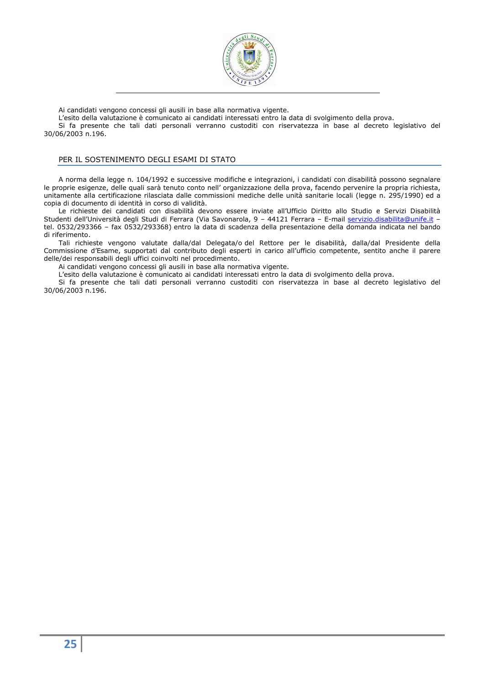

Ai candidati vengono concessi gli ausili in base alla normativa vigente.

L'esito della valutazione è comunicato ai candidati interessati entro la data di svolgimento della prova.

Si fa presente che tali dati personali verranno custoditi con riservatezza in base al decreto legislativo del 30/06/2003 n.196.

# PER IL SOSTENIMENTO DEGLI ESAMI DI STATO

A norma della legge n. 104/1992 e successive modifiche e integrazioni, i candidati con disabilità possono segnalare le proprie esigenze, delle quali sarà tenuto conto nell' organizzazione della prova, facendo pervenire la propria richiesta, unitamente alla certificazione rilasciata dalle commissioni mediche delle unità sanitarie locali (legge n. 295/1990) ed a copia di documento di identità in corso di validità.

Le richieste dei candidati con disabilità devono essere inviate all'Ufficio Diritto allo Studio e Servizi Disabilità Studenti dell'Università degli Studi di Ferrara (Via Savonarola, 9 - 44121 Ferrara - E-mail servizio.disabilita@unife.it tel. 0532/293366 – fax 0532/293368) entro la data di scadenza della presentazione della domanda indicata nel bando di riferimento.

Tali richieste vengono valutate dalla/dal Delegata/o del Rettore per le disabilità, dalla/dal Presidente della Commissione d'Esame, supportati dal contributo degli esperti in carico all'ufficio competente, sentito anche il parere delle/dei responsabili degli uffici coinvolti nel procedimento.

Ai candidati vengono concessi gli ausili in base alla normativa vigente.

L'esito della valutazione è comunicato ai candidati interessati entro la data di svolgimento della prova.

Si fa presente che tali dati personali verranno custoditi con riservatezza in base al decreto legislativo del 30/06/2003 n.196.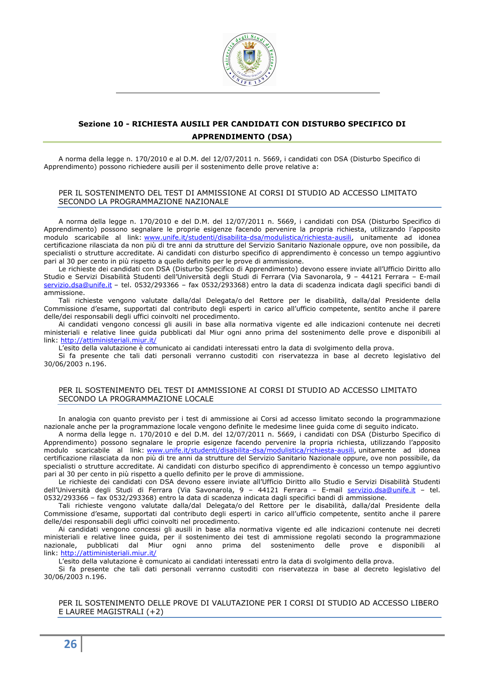

# **Sezione 10 - RICHIESTA AUSILI PER CANDIDATI CON DISTURBO SPECIFICO DI APPRENDIMENTO (DSA)**

A norma della legge n. 170/2010 e al D.M. del 12/07/2011 n. 5669, i candidati con DSA (Disturbo Specifico di Apprendimento) possono richiedere ausili per il sostenimento delle prove relative a:

# PER IL SOSTENIMENTO DEL TEST DI AMMISSIONE AI CORSI DI STUDIO AD ACCESSO LIMITATO SECONDO LA PROGRAMMAZIONE NAZIONALE

A norma della legge n. 170/2010 e del D.M. del 12/07/2011 n. 5669, i candidati con DSA (Disturbo Specifico di Apprendimento) possono segnalare le proprie esigenze facendo pervenire la propria richiesta, utilizzando l'apposito modulo scaricabile al link: www.unife.it/studenti/disabilita-dsa/modulistica/richiesta-ausili, unitamente ad idonea certificazione rilasciata da non più di tre anni da strutture del Servizio Sanitario Nazionale oppure, ove non possibile, da specialisti o strutture accreditate. Ai candidati con disturbo specifico di apprendimento è concesso un tempo aggiuntivo pari al 30 per cento in più rispetto a quello definito per le prove di ammissione.

Le richieste dei candidati con DSA (Disturbo Specifico di Apprendimento) devono essere inviate all'Ufficio Diritto allo Studio e Servizi Disabilità Studenti dell'Università degli Studi di Ferrara (Via Savonarola, 9 – 44121 Ferrara – E-mail servizio.dsa@unife.it – tel. 0532/293366 – fax 0532/293368) entro la data di scadenza indicata dagli specifici bandi di ammissione.

Tali richieste vengono valutate dalla/dal Delegata/o del Rettore per le disabilità, dalla/dal Presidente della Commissione d'esame, supportati dal contributo degli esperti in carico all'ufficio competente, sentito anche il parere delle/dei responsabili degli uffici coinvolti nel procedimento.

Ai candidati vengono concessi gli ausili in base alla normativa vigente ed alle indicazioni contenute nei decreti ministeriali e relative linee guida pubblicati dal Miur ogni anno prima del sostenimento delle prove e disponibili al link: http://attiministeriali.miur.it/

L'esito della valutazione è comunicato ai candidati interessati entro la data di svolgimento della prova.

Si fa presente che tali dati personali verranno custoditi con riservatezza in base al decreto legislativo del 30/06/2003 n.196.

# PER IL SOSTENIMENTO DEL TEST DI AMMISSIONE AI CORSI DI STUDIO AD ACCESSO LIMITATO SECONDO LA PROGRAMMAZIONE LOCALE

In analogia con quanto previsto per i test di ammissione ai Corsi ad accesso limitato secondo la programmazione nazionale anche per la programmazione locale vengono definite le medesime linee guida come di seguito indicato.

A norma della legge n. 170/2010 e del D.M. del 12/07/2011 n. 5669, i candidati con DSA (Disturbo Specifico di Apprendimento) possono segnalare le proprie esigenze facendo pervenire la propria richiesta, utilizzando l'apposito modulo scaricabile al link: www.unife.it/studenti/disabilita-dsa/modulistica/richiesta-ausili, unitamente ad idonea certificazione rilasciata da non più di tre anni da strutture del Servizio Sanitario Nazionale oppure, ove non possibile, da specialisti o strutture accreditate. Ai candidati con disturbo specifico di apprendimento è concesso un tempo aggiuntivo pari al 30 per cento in più rispetto a quello definito per le prove di ammissione.

Le richieste dei candidati con DSA devono essere inviate all'Ufficio Diritto allo Studio e Servizi Disabilità Studenti dell'Università degli Studi di Ferrara (Via Savonarola, 9 - 44121 Ferrara - E-mail servizio.dsa@unife.it - tel. 0532/293366 – fax 0532/293368) entro la data di scadenza indicata dagli specifici bandi di ammissione.

Tali richieste vengono valutate dalla/dal Delegata/o del Rettore per le disabilità, dalla/dal Presidente della Commissione d'esame, supportati dal contributo degli esperti in carico all'ufficio competente, sentito anche il parere delle/dei responsabili degli uffici coinvolti nel procedimento.

Ai candidati vengono concessi gli ausili in base alla normativa vigente ed alle indicazioni contenute nei decreti ministeriali e relative linee guida, per il sostenimento dei test di ammissione regolati secondo la programmazione nazionale, pubblicati dal Miur ogni anno prima del sostenimento delle prove e disponibili al link: http://attiministeriali.miur.it/

L'esito della valutazione è comunicato ai candidati interessati entro la data di svolgimento della prova.

Si fa presente che tali dati personali verranno custoditi con riservatezza in base al decreto legislativo del 30/06/2003 n.196.

PER IL SOSTENIMENTO DELLE PROVE DI VALUTAZIONE PER I CORSI DI STUDIO AD ACCESSO LIBERO E LAUREE MAGISTRALI (+2)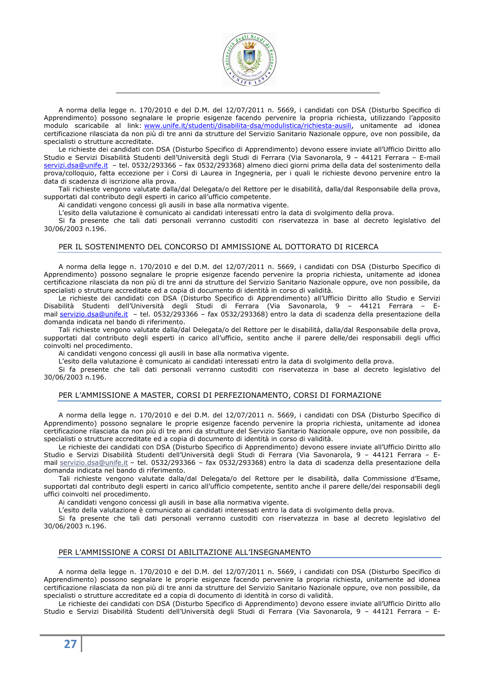

A norma della legge n. 170/2010 e del D.M. del 12/07/2011 n. 5669, i candidati con DSA (Disturbo Specifico di Apprendimento) possono segnalare le proprie esigenze facendo pervenire la propria richiesta, utilizzando l'apposito modulo scaricabile al link: www.unife.it/studenti/disabilita-dsa/modulistica/richiesta-ausili, unitamente ad idonea certificazione rilasciata da non più di tre anni da strutture del Servizio Sanitario Nazionale oppure, ove non possibile, da specialisti o strutture accreditate.

Le richieste dei candidati con DSA (Disturbo Specifico di Apprendimento) devono essere inviate all'Ufficio Diritto allo Studio e Servizi Disabilità Studenti dell'Università degli Studi di Ferrara (Via Savonarola, 9 – 44121 Ferrara – E-mail servizi.dsa@unife.it - tel. 0532/293366 - fax 0532/293368) almeno dieci giorni prima della data del sostenimento della prova/colloquio, fatta eccezione per i Corsi di Laurea in Ingegneria, per i quali le richieste devono pervenire entro la data di scadenza di iscrizione alla prova.

Tali richieste vengono valutate dalla/dal Delegata/o del Rettore per le disabilità, dalla/dal Responsabile della prova, supportati dal contributo degli esperti in carico all'ufficio competente.

Ai candidati vengono concessi gli ausili in base alla normativa vigente.

L'esito della valutazione è comunicato ai candidati interessati entro la data di svolgimento della prova.

Si fa presente che tali dati personali verranno custoditi con riservatezza in base al decreto legislativo del 30/06/2003 n.196.

# PER IL SOSTENIMENTO DEL CONCORSO DI AMMISSIONE AL DOTTORATO DI RICERCA

A norma della legge n. 170/2010 e del D.M. del 12/07/2011 n. 5669, i candidati con DSA (Disturbo Specifico di Apprendimento) possono segnalare le proprie esigenze facendo pervenire la propria richiesta, unitamente ad idonea certificazione rilasciata da non più di tre anni da strutture del Servizio Sanitario Nazionale oppure, ove non possibile, da specialisti o strutture accreditate ed a copia di documento di identità in corso di validità.

Le richieste dei candidati con DSA (Disturbo Specifico di Apprendimento) all'Ufficio Diritto allo Studio e Servizi Disabilità Studenti dell'Università degli Studi di Ferrara (Via Savonarola, 9 – 44121 Ferrara – Email servizio.dsa@unife.it – tel. 0532/293366 – fax 0532/293368) entro la data di scadenza della presentazione della domanda indicata nel bando di riferimento.

Tali richieste vengono valutate dalla/dal Delegata/o del Rettore per le disabilità, dalla/dal Responsabile della prova, supportati dal contributo degli esperti in carico all'ufficio, sentito anche il parere delle/dei responsabili degli uffici coinvolti nel procedimento.

Ai candidati vengono concessi gli ausili in base alla normativa vigente.

L'esito della valutazione è comunicato ai candidati interessati entro la data di svolgimento della prova.

Si fa presente che tali dati personali verranno custoditi con riservatezza in base al decreto legislativo del 30/06/2003 n.196.

# PER L'AMMISSIONE A MASTER, CORSI DI PERFEZIONAMENTO, CORSI DI FORMAZIONE

A norma della legge n. 170/2010 e del D.M. del 12/07/2011 n. 5669, i candidati con DSA (Disturbo Specifico di Apprendimento) possono segnalare le proprie esigenze facendo pervenire la propria richiesta, unitamente ad idonea certificazione rilasciata da non più di tre anni da strutture del Servizio Sanitario Nazionale oppure, ove non possibile, da specialisti o strutture accreditate ed a copia di documento di identità in corso di validità.

Le richieste dei candidati con DSA (Disturbo Specifico di Apprendimento) devono essere inviate all'Ufficio Diritto allo Studio e Servizi Disabilità Studenti dell'Università degli Studi di Ferrara (Via Savonarola, 9 - 44121 Ferrara - Email servizio.dsa@unife.it – tel. 0532/293366 – fax 0532/293368) entro la data di scadenza della presentazione della domanda indicata nel bando di riferimento.

Tali richieste vengono valutate dalla/dal Delegata/o del Rettore per le disabilità, dalla Commissione d'Esame, supportati dal contributo degli esperti in carico all'ufficio competente, sentito anche il parere delle/dei responsabili degli uffici coinvolti nel procedimento.

Ai candidati vengono concessi gli ausili in base alla normativa vigente.

L'esito della valutazione è comunicato ai candidati interessati entro la data di svolgimento della prova.

Si fa presente che tali dati personali verranno custoditi con riservatezza in base al decreto legislativo del 30/06/2003 n.196.

# PER L'AMMISSIONE A CORSI DI ABILITAZIONE ALL'INSEGNAMENTO

A norma della legge n. 170/2010 e del D.M. del 12/07/2011 n. 5669, i candidati con DSA (Disturbo Specifico di Apprendimento) possono segnalare le proprie esigenze facendo pervenire la propria richiesta, unitamente ad idonea certificazione rilasciata da non più di tre anni da strutture del Servizio Sanitario Nazionale oppure, ove non possibile, da specialisti o strutture accreditate ed a copia di documento di identità in corso di validità.

Le richieste dei candidati con DSA (Disturbo Specifico di Apprendimento) devono essere inviate all'Ufficio Diritto allo Studio e Servizi Disabilità Studenti dell'Università degli Studi di Ferrara (Via Savonarola, 9 – 44121 Ferrara – E-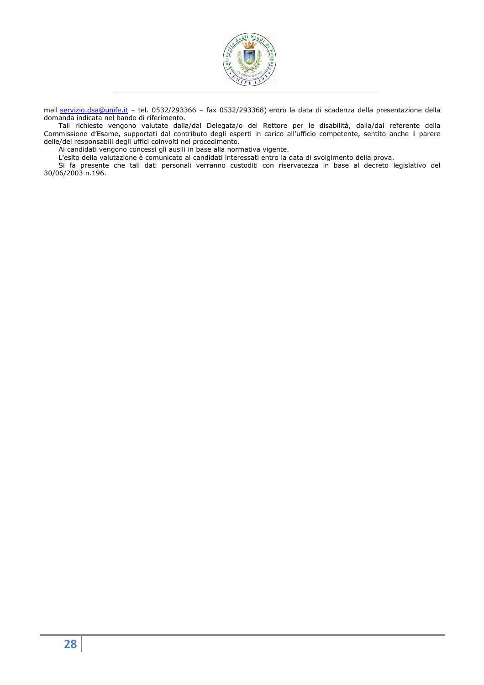

mail servizio.dsa@unife.it – tel. 0532/293366 – fax 0532/293368) entro la data di scadenza della presentazione della domanda indicata nel bando di riferimento.

Tali richieste vengono valutate dalla/dal Delegata/o del Rettore per le disabilità, dalla/dal referente della Commissione d'Esame, supportati dal contributo degli esperti in carico all'ufficio competente, sentito anche il parere delle/dei responsabili degli uffici coinvolti nel procedimento.

Ai candidati vengono concessi gli ausili in base alla normativa vigente.

L'esito della valutazione è comunicato ai candidati interessati entro la data di svolgimento della prova.

Si fa presente che tali dati personali verranno custoditi con riservatezza in base al decreto legislativo del 30/06/2003 n.196.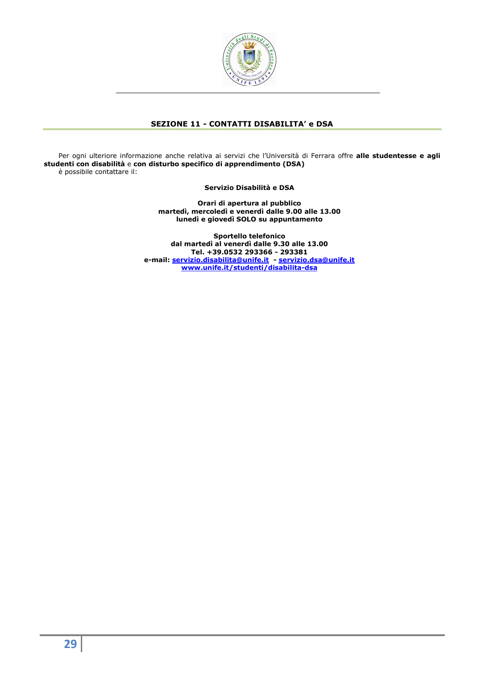

# **SEZIONE 11 - CONTATTI DISABILITA' e DSA**

Per ogni ulteriore informazione anche relativa ai servizi che l'Università di Ferrara offre **alle studentesse e agli studenti con disabilità** e **con disturbo specifico di apprendimento (DSA)**  è possibile contattare il:

**Servizio Disabilità e DSA** 

**Orari di apertura al pubblico martedì, mercoledì e venerdì dalle 9.00 alle 13.00 lunedì e giovedì SOLO su appuntamento** 

**Sportello telefonico dal martedì al venerdì dalle 9.30 alle 13.00 Tel. +39.0532 293366 - 293381 e-mail: servizio.disabilita@unife.it - servizio.dsa@unife.it www.unife.it/studenti/disabilita-dsa**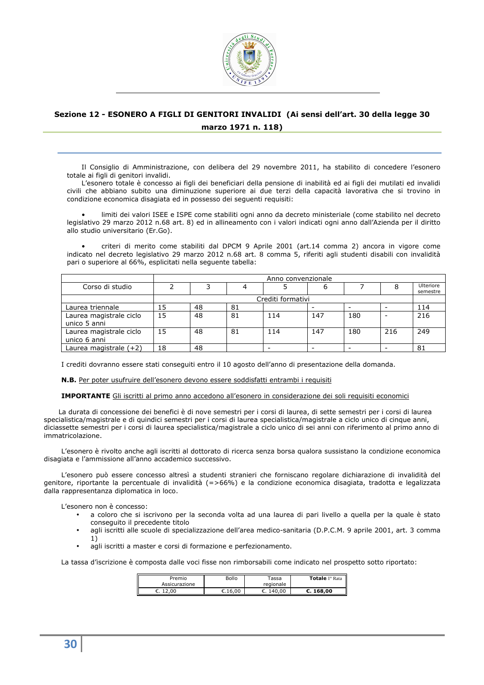

# **Sezione 12 - ESONERO A FIGLI DI GENITORI INVALIDI (Ai sensi dell'art. 30 della legge 30 marzo 1971 n. 118)**

Il Consiglio di Amministrazione, con delibera del 29 novembre 2011, ha stabilito di concedere l'esonero totale ai figli di genitori invalidi.

L'esonero totale è concesso ai figli dei beneficiari della pensione di inabilità ed ai figli dei mutilati ed invalidi civili che abbiano subito una diminuzione superiore ai due terzi della capacità lavorativa che si trovino in condizione economica disagiata ed in possesso dei seguenti requisiti:

• limiti dei valori ISEE e ISPE come stabiliti ogni anno da decreto ministeriale (come stabilito nel decreto legislativo 29 marzo 2012 n.68 art. 8) ed in allineamento con i valori indicati ogni anno dall'Azienda per il diritto allo studio universitario (Er.Go).

• criteri di merito come stabiliti dal DPCM 9 Aprile 2001 (art.14 comma 2) ancora in vigore come indicato nel decreto legislativo 29 marzo 2012 n.68 art. 8 comma 5, riferiti agli studenti disabili con invalidità pari o superiore al 66%, esplicitati nella seguente tabella:

|                                         |    | Anno convenzionale |    |                          |     |     |     |                       |
|-----------------------------------------|----|--------------------|----|--------------------------|-----|-----|-----|-----------------------|
| Corso di studio                         |    |                    |    |                          |     |     |     | Ulteriore<br>semestre |
|                                         |    | Crediti formativi  |    |                          |     |     |     |                       |
| Laurea triennale                        | 15 | 48                 | 81 |                          |     |     |     | 114                   |
| Laurea magistrale ciclo<br>unico 5 anni | 15 | 48                 | 81 | 114                      | 147 | 180 |     | 216                   |
| Laurea magistrale ciclo<br>unico 6 anni | 15 | 48                 | 81 | 114                      | 147 | 180 | 216 | 249                   |
| Laurea magistrale (+2)                  | 18 | 48                 |    | $\overline{\phantom{a}}$ |     |     |     | 81                    |

I crediti dovranno essere stati conseguiti entro il 10 agosto dell'anno di presentazione della domanda.

**N.B.** Per poter usufruire dell'esonero devono essere soddisfatti entrambi i requisiti

**IMPORTANTE** Gli iscritti al primo anno accedono all'esonero in considerazione dei soli requisiti economici

La durata di concessione dei benefici è di nove semestri per i corsi di laurea, di sette semestri per i corsi di laurea specialistica/magistrale e di quindici semestri per i corsi di laurea specialistica/magistrale a ciclo unico di cinque anni, diciassette semestri per i corsi di laurea specialistica/magistrale a ciclo unico di sei anni con riferimento al primo anno di immatricolazione.

L'esonero è rivolto anche agli iscritti al dottorato di ricerca senza borsa qualora sussistano la condizione economica disagiata e l'ammissione all'anno accademico successivo.

L'esonero può essere concesso altresì a studenti stranieri che forniscano regolare dichiarazione di invalidità del genitore, riportante la percentuale di invalidità (=>66%) e la condizione economica disagiata, tradotta e legalizzata dalla rappresentanza diplomatica in loco.

L'esonero non è concesso:

- a coloro che si iscrivono per la seconda volta ad una laurea di pari livello a quella per la quale è stato conseguito il precedente titolo
- agli iscritti alle scuole di specializzazione dell'area medico-sanitaria (D.P.C.M. 9 aprile 2001, art. 3 comma 1)
- agli iscritti a master e corsi di formazione e perfezionamento.

La tassa d'iscrizione è composta dalle voci fisse non rimborsabili come indicato nel prospetto sotto riportato:

| Premio<br>Assicurazione | Bollo             | Tassa<br>regionale | Totale I° Rata |
|-------------------------|-------------------|--------------------|----------------|
| 12,00<br>. J            | $\epsilon$ .16.00 | €. 140.00          | C.168.00       |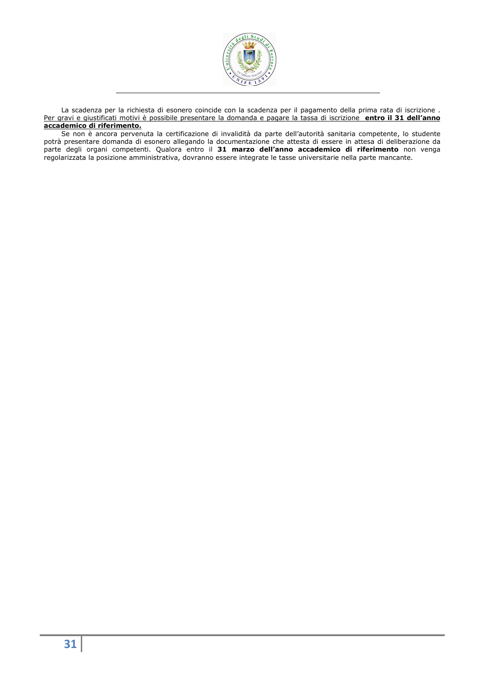

La scadenza per la richiesta di esonero coincide con la scadenza per il pagamento della prima rata di iscrizione . Per gravi e giustificati motivi è possibile presentare la domanda e pagare la tassa di iscrizione **entro il 31 dell'anno accademico di riferimento.**

Se non è ancora pervenuta la certificazione di invalidità da parte dell'autorità sanitaria competente, lo studente potrà presentare domanda di esonero allegando la documentazione che attesta di essere in attesa di deliberazione da parte degli organi competenti. Qualora entro il **31 marzo dell'anno accademico di riferimento** non venga regolarizzata la posizione amministrativa, dovranno essere integrate le tasse universitarie nella parte mancante.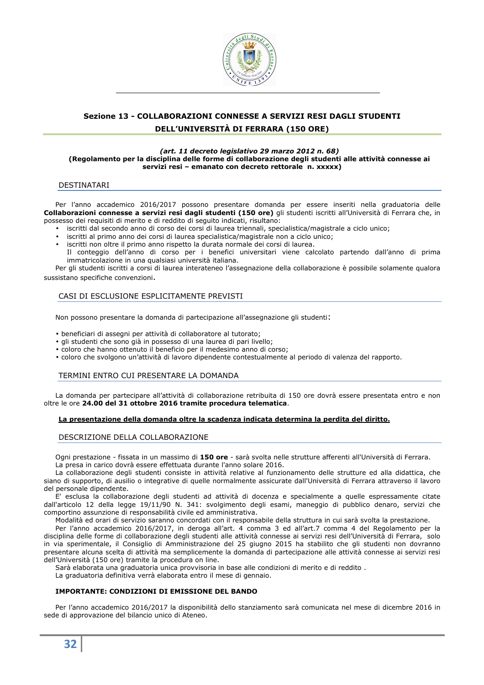

# **Sezione 13 - COLLABORAZIONI CONNESSE A SERVIZI RESI DAGLI STUDENTI DELL'UNIVERSITÀ DI FERRARA (150 ORE)**

### *(art. 11 decreto legislativo 29 marzo 2012 n. 68)* **(Regolamento per la disciplina delle forme di collaborazione degli studenti alle attività connesse ai servizi resi – emanato con decreto rettorale n. xxxxx)**

# DESTINATARI

Per l'anno accademico 2016/2017 possono presentare domanda per essere inseriti nella graduatoria delle **Collaborazioni connesse a servizi resi dagli studenti (150 ore)** gli studenti iscritti all'Università di Ferrara che, in possesso dei requisiti di merito e di reddito di seguito indicati, risultano:

- iscritti dal secondo anno di corso dei corsi di laurea triennali, specialistica/magistrale a ciclo unico;
- iscritti al primo anno dei corsi di laurea specialistica/magistrale non a ciclo unico;
- iscritti non oltre il primo anno rispetto la durata normale dei corsi di laurea.
- Il conteggio dell'anno di corso per i benefici universitari viene calcolato partendo dall'anno di prima immatricolazione in una qualsiasi università italiana.

Per gli studenti iscritti a corsi di laurea interateneo l'assegnazione della collaborazione è possibile solamente qualora sussistano specifiche convenzioni.

# CASI DI ESCLUSIONE ESPLICITAMENTE PREVISTI

Non possono presentare la domanda di partecipazione all'assegnazione gli studenti:

- beneficiari di assegni per attività di collaboratore al tutorato;
- gli studenti che sono già in possesso di una laurea di pari livello;
- coloro che hanno ottenuto il beneficio per il medesimo anno di corso;
- coloro che svolgono un'attività di lavoro dipendente contestualmente al periodo di valenza del rapporto.

#### TERMINI ENTRO CUI PRESENTARE LA DOMANDA

La domanda per partecipare all'attività di collaborazione retribuita di 150 ore dovrà essere presentata entro e non oltre le ore **24.00 del 31 ottobre 2016 tramite procedura telematica**.

# **La presentazione della domanda oltre la scadenza indicata determina la perdita del diritto.**

# DESCRIZIONE DELLA COLLABORAZIONE

Ogni prestazione - fissata in un massimo di **150 ore** - sarà svolta nelle strutture afferenti all'Università di Ferrara. La presa in carico dovrà essere effettuata durante l'anno solare 2016.

La collaborazione degli studenti consiste in attività relative al funzionamento delle strutture ed alla didattica, che siano di supporto, di ausilio o integrative di quelle normalmente assicurate dall'Università di Ferrara attraverso il lavoro del personale dipendente.

E' esclusa la collaborazione degli studenti ad attività di docenza e specialmente a quelle espressamente citate dall'articolo 12 della legge 19/11/90 N. 341: svolgimento degli esami, maneggio di pubblico denaro, servizi che comportino assunzione di responsabilità civile ed amministrativa.

Modalità ed orari di servizio saranno concordati con il responsabile della struttura in cui sarà svolta la prestazione.

Per l'anno accademico 2016/2017, in deroga all'art. 4 comma 3 ed all'art.7 comma 4 del Regolamento per la disciplina delle forme di collaborazione degli studenti alle attività connesse ai servizi resi dell'Università di Ferrara, solo in via sperimentale, il Consiglio di Amministrazione del 25 giugno 2015 ha stabilito che gli studenti non dovranno presentare alcuna scelta di attività ma semplicemente la domanda di partecipazione alle attività connesse ai servizi resi dell'Università (150 ore) tramite la procedura on line.

Sarà elaborata una graduatoria unica provvisoria in base alle condizioni di merito e di reddito .

La graduatoria definitiva verrà elaborata entro il mese di gennaio.

# **IMPORTANTE: CONDIZIONI DI EMISSIONE DEL BANDO**

Per l'anno accademico 2016/2017 la disponibilità dello stanziamento sarà comunicata nel mese di dicembre 2016 in sede di approvazione del bilancio unico di Ateneo.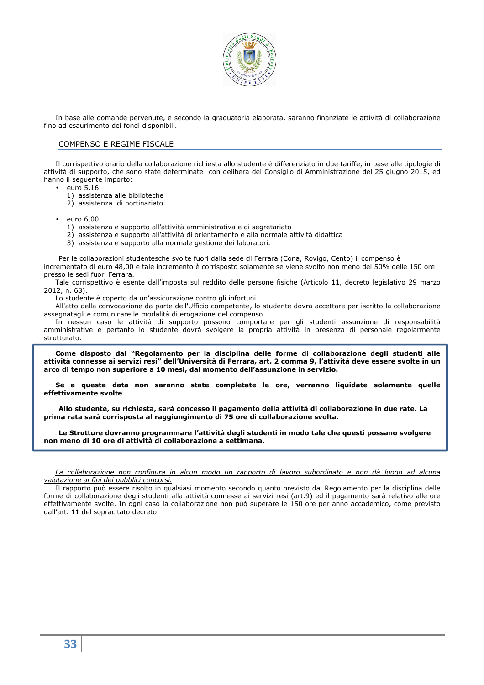

In base alle domande pervenute, e secondo la graduatoria elaborata, saranno finanziate le attività di collaborazione fino ad esaurimento dei fondi disponibili.

# COMPENSO E REGIME FISCALE

Il corrispettivo orario della collaborazione richiesta allo studente è differenziato in due tariffe, in base alle tipologie di attività di supporto, che sono state determinate con delibera del Consiglio di Amministrazione del 25 giugno 2015, ed hanno il seguente importo:

- euro 5,16
	- 1) assistenza alle biblioteche
	- 2) assistenza di portinariato
- euro 6,00
	- 1) assistenza e supporto all'attività amministrativa e di segretariato
	- 2) assistenza e supporto all'attività di orientamento e alla normale attività didattica
	- 3) assistenza e supporto alla normale gestione dei laboratori.

Per le collaborazioni studentesche svolte fuori dalla sede di Ferrara (Cona, Rovigo, Cento) il compenso è incrementato di euro 48,00 e tale incremento è corrisposto solamente se viene svolto non meno del 50% delle 150 ore presso le sedi fuori Ferrara.

Tale corrispettivo è esente dall'imposta sul reddito delle persone fisiche (Articolo 11, decreto legislativo 29 marzo 2012, n. 68).

Lo studente è coperto da un'assicurazione contro gli infortuni.

All'atto della convocazione da parte dell'Ufficio competente, lo studente dovrà accettare per iscritto la collaborazione assegnatagli e comunicare le modalità di erogazione del compenso.

In nessun caso le attività di supporto possono comportare per gli studenti assunzione di responsabilità amministrative e pertanto lo studente dovrà svolgere la propria attività in presenza di personale regolarmente strutturato.

**Come disposto dal "Regolamento per la disciplina delle forme di collaborazione degli studenti alle attività connesse ai servizi resi" dell'Università di Ferrara, art. 2 comma 9, l'attività deve essere svolte in un arco di tempo non superiore a 10 mesi, dal momento dell'assunzione in servizio.** 

**Se a questa data non saranno state completate le ore, verranno liquidate solamente quelle effettivamente svolte**.

**Allo studente, su richiesta, sarà concesso il pagamento della attività di collaborazione in due rate. La prima rata sarà corrisposta al raggiungimento di 75 ore di collaborazione svolta.** 

**Le Strutture dovranno programmare l'attività degli studenti in modo tale che questi possano svolgere non meno di 10 ore di attività di collaborazione a settimana.** 

*La collaborazione non configura in alcun modo un rapporto di lavoro subordinato e non dà luogo ad alcuna valutazione ai fini dei pubblici concorsi.* 

Il rapporto può essere risolto in qualsiasi momento secondo quanto previsto dal Regolamento per la disciplina delle forme di collaborazione degli studenti alla attività connesse ai servizi resi (art.9) ed il pagamento sarà relativo alle ore effettivamente svolte. In ogni caso la collaborazione non può superare le 150 ore per anno accademico, come previsto dall'art. 11 del sopracitato decreto.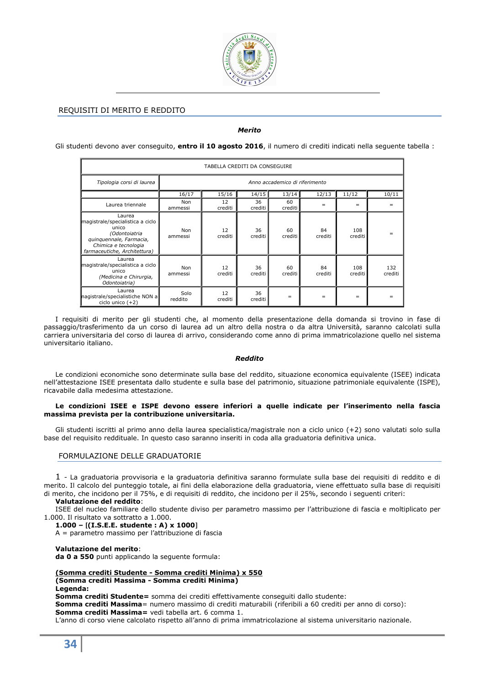

# REQUISITI DI MERITO E REDDITO

# *Merito*

Gli studenti devono aver conseguito, **entro il 10 agosto 2016**, il numero di crediti indicati nella seguente tabella :

| TABELLA CREDITI DA CONSEGUIRE                                                                                                                           |                 |               |                 |                                |               |                |                |
|---------------------------------------------------------------------------------------------------------------------------------------------------------|-----------------|---------------|-----------------|--------------------------------|---------------|----------------|----------------|
| Tipologia corsi di laurea                                                                                                                               |                 |               |                 | Anno accademico di riferimento |               |                |                |
|                                                                                                                                                         | 16/17           | 15/16         | 14/15           | 13/14                          | 12/13         | 11/12          | 10/11          |
| Laurea triennale                                                                                                                                        | Non<br>ammessi  | 12<br>crediti | 36<br>crediti l | 60<br>crediti                  | $=$           | $=$            | $=$            |
| Laurea<br>magistrale/specialistica a ciclo<br>unico<br>(Odontoiatria<br>quinquennale, Farmacia,<br>Chimica e tecnologia<br>farmaceutiche, Architettura) | Non<br>ammessi  | 12<br>crediti | 36<br>crediti   | 60<br>crediti                  | 84<br>crediti | 108<br>crediti |                |
| Laurea<br>magistrale/specialistica a ciclo<br>unico<br>(Medicina e Chirurgia,<br>Odontoiatria)                                                          | Non<br>ammessi  | 12<br>crediti | 36<br>crediti   | 60<br>crediti                  | 84<br>crediti | 108<br>crediti | 132<br>crediti |
| Laurea<br>nagistrale/specialistiche NON a<br>ciclo unico $(+2)$                                                                                         | Solo<br>reddito | 12<br>crediti | 36<br>crediti   | $=$                            | $=$           | $=$            | =              |

I requisiti di merito per gli studenti che, al momento della presentazione della domanda si trovino in fase di passaggio/trasferimento da un corso di laurea ad un altro della nostra o da altra Università, saranno calcolati sulla carriera universitaria del corso di laurea di arrivo, considerando come anno di prima immatricolazione quello nel sistema universitario italiano.

#### *Reddito*

Le condizioni economiche sono determinate sulla base del reddito, situazione economica equivalente (ISEE) indicata nell'attestazione ISEE presentata dallo studente e sulla base del patrimonio, situazione patrimoniale equivalente (ISPE), ricavabile dalla medesima attestazione.

### **Le condizioni ISEE e ISPE devono essere inferiori a quelle indicate per l'inserimento nella fascia massima prevista per la contribuzione universitaria.**

Gli studenti iscritti al primo anno della laurea specialistica/magistrale non a ciclo unico (+2) sono valutati solo sulla base del requisito reddituale. In questo caso saranno inseriti in coda alla graduatoria definitiva unica.

# FORMULAZIONE DELLE GRADUATORIE

1 - La graduatoria provvisoria e la graduatoria definitiva saranno formulate sulla base dei requisiti di reddito e di merito. Il calcolo del punteggio totale, ai fini della elaborazione della graduatoria, viene effettuato sulla base di requisiti di merito, che incidono per il 75%, e di requisiti di reddito, che incidono per il 25%, secondo i seguenti criteri:

# **Valutazione del reddito**:

ISEE del nucleo familiare dello studente diviso per parametro massimo per l'attribuzione di fascia e moltiplicato per 1.000. Il risultato va sottratto a 1.000.

### **1.000 –** [**(I.S.E.E. studente : A) x 1000**]

A = parametro massimo per l'attribuzione di fascia

#### **Valutazione del merito**:

**da 0 a 550** punti applicando la seguente formula:

### **(Somma crediti Studente - Somma crediti Minima) x 550 (Somma crediti Massima - Somma crediti Minima) Legenda:**

**Somma crediti Studente=** somma dei crediti effettivamente conseguiti dallo studente: **Somma crediti Massima**= numero massimo di crediti maturabili (riferibili a 60 crediti per anno di corso): **Somma crediti Massima=** vedi tabella art. 6 comma 1.

L'anno di corso viene calcolato rispetto all'anno di prima immatricolazione al sistema universitario nazionale.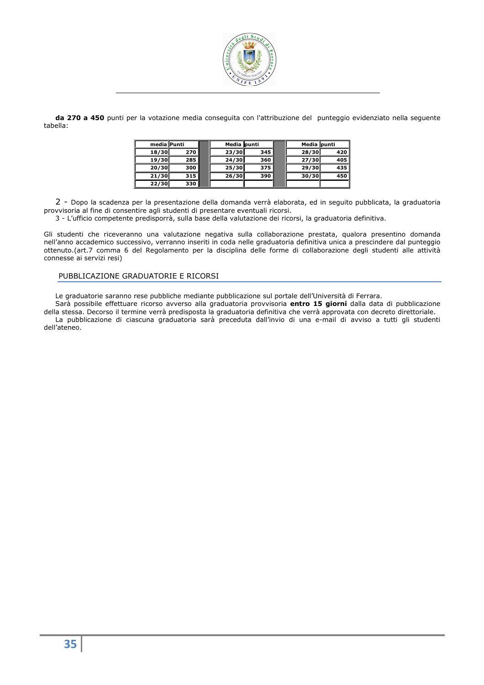

**da 270 a 450** punti per la votazione media conseguita con l'attribuzione del punteggio evidenziato nella seguente tabella:

| media Punti |     | Media punti |     | Media punti |     |
|-------------|-----|-------------|-----|-------------|-----|
| 18/30       | 270 | 23/30       | 345 | 28/30       | 420 |
| 19/30       | 285 | 24/30       | 360 | 27/30       | 405 |
| 20/30       | 300 | 25/30       | 375 | 29/30       | 435 |
| 21/30       | 315 | 26/30       | 390 | 30/30       | 450 |
| 22/30       | 330 |             |     |             |     |

2 - Dopo la scadenza per la presentazione della domanda verrà elaborata, ed in seguito pubblicata, la graduatoria provvisoria al fine di consentire agli studenti di presentare eventuali ricorsi.

3 - L'ufficio competente predisporrà, sulla base della valutazione dei ricorsi, la graduatoria definitiva.

Gli studenti che riceveranno una valutazione negativa sulla collaborazione prestata, qualora presentino domanda nell'anno accademico successivo, verranno inseriti in coda nelle graduatoria definitiva unica a prescindere dal punteggio ottenuto.(art.7 comma 6 del Regolamento per la disciplina delle forme di collaborazione degli studenti alle attività connesse ai servizi resi)

# PUBBLICAZIONE GRADUATORIE E RICORSI

Le graduatorie saranno rese pubbliche mediante pubblicazione sul portale dell'Università di Ferrara.

Sarà possibile effettuare ricorso avverso alla graduatoria provvisoria **entro 15 giorni** dalla data di pubblicazione della stessa. Decorso il termine verrà predisposta la graduatoria definitiva che verrà approvata con decreto direttoriale. La pubblicazione di ciascuna graduatoria sarà preceduta dall'invio di una e-mail di avviso a tutti gli studenti dell'ateneo.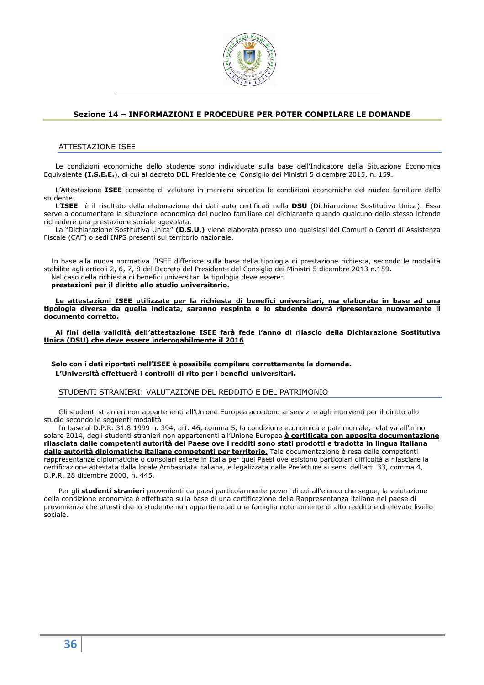

# **Sezione 14 – INFORMAZIONI E PROCEDURE PER POTER COMPILARE LE DOMANDE**

# ATTESTAZIONE ISEE

Le condizioni economiche dello studente sono individuate sulla base dell'Indicatore della Situazione Economica Equivalente **(I.S.E.E.**), di cui al decreto DEL Presidente del Consiglio dei Ministri 5 dicembre 2015, n. 159.

L'Attestazione **ISEE** consente di valutare in maniera sintetica le condizioni economiche del nucleo familiare dello studente.

L'**ISEE** è il risultato della elaborazione dei dati auto certificati nella **DSU** (Dichiarazione Sostitutiva Unica). Essa serve a documentare la situazione economica del nucleo familiare del dichiarante quando qualcuno dello stesso intende richiedere una prestazione sociale agevolata.

La "Dichiarazione Sostitutiva Unica" **(D.S.U.)** viene elaborata presso uno qualsiasi dei Comuni o Centri di Assistenza Fiscale (CAF) o sedi INPS presenti sul territorio nazionale.

In base alla nuova normativa l'ISEE differisce sulla base della tipologia di prestazione richiesta, secondo le modalità stabilite agli articoli 2, 6, 7, 8 del Decreto del Presidente del Consiglio dei Ministri 5 dicembre 2013 n.159.

Nel caso della richiesta di benefici universitari la tipologia deve essere: **prestazioni per il diritto allo studio universitario.**

**Le attestazioni ISEE utilizzate per la richiesta di benefici universitari, ma elaborate in base ad una tipologia diversa da quella indicata, saranno respinte e lo studente dovrà ripresentare nuovamente il documento corretto.** 

**Ai fini della validità dell'attestazione ISEE farà fede l'anno di rilascio della Dichiarazione Sostitutiva Unica (DSU) che deve essere inderogabilmente il 2016**

**Solo con i dati riportati nell'ISEE è possibile compilare correttamente la domanda. L'Università effettuerà i controlli di rito per i benefici universitari.** 

# STUDENTI STRANIERI: VALUTAZIONE DEL REDDITO E DEL PATRIMONIO

Gli studenti stranieri non appartenenti all'Unione Europea accedono ai servizi e agli interventi per il diritto allo studio secondo le seguenti modalità

In base al D.P.R. 31.8.1999 n. 394, art. 46, comma 5, la condizione economica e patrimoniale, relativa all'anno solare 2014, degli studenti stranieri non appartenenti all'Unione Europea **è certificata con apposita documentazione rilasciata dalle competenti autorità del Paese ove i redditi sono stati prodotti e tradotta in lingua italiana dalle autorità diplomatiche italiane competenti per territorio.** Tale documentazione è resa dalle competenti rappresentanze diplomatiche o consolari estere in Italia per quei Paesi ove esistono particolari difficoltà a rilasciare la certificazione attestata dalla locale Ambasciata italiana, e legalizzata dalle Prefetture ai sensi dell'art. 33, comma 4, D.P.R. 28 dicembre 2000, n. 445.

Per gli **studenti stranieri** provenienti da paesi particolarmente poveri di cui all'elenco che segue, la valutazione della condizione economica è effettuata sulla base di una certificazione della Rappresentanza italiana nel paese di provenienza che attesti che lo studente non appartiene ad una famiglia notoriamente di alto reddito e di elevato livello sociale.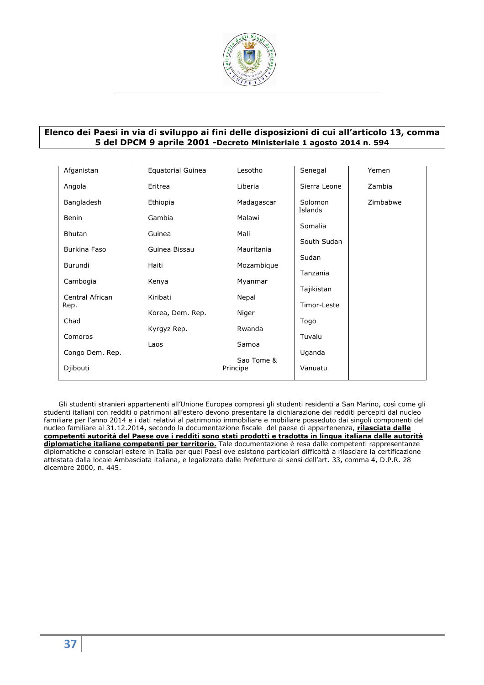

# **Elenco dei Paesi in via di sviluppo ai fini delle disposizioni di cui all'articolo 13, comma 5 del DPCM 9 aprile 2001 -Decreto Ministeriale 1 agosto 2014 n. 594**

| Afganistan              | Equatorial Guinea | Lesotho                | Senegal            | Yemen    |
|-------------------------|-------------------|------------------------|--------------------|----------|
| Angola                  | Eritrea           | Liberia                | Sierra Leone       | Zambia   |
| Bangladesh              | Ethiopia          | Madagascar             | Solomon<br>Islands | Zimbabwe |
| <b>Benin</b>            | Gambia            | Malawi                 | Somalia            |          |
| <b>Bhutan</b>           | Guinea            | Mali                   |                    |          |
| Burkina Faso            | Guinea Bissau     | Mauritania             | South Sudan        |          |
| Burundi                 | Haiti             | Mozambique             | Sudan              |          |
|                         |                   |                        | Tanzania           |          |
| Cambogia                | Kenya             | Myanmar                | Tajikistan         |          |
| Central African<br>Rep. | Kiribati          | Nepal                  | Timor-Leste        |          |
|                         | Korea, Dem. Rep.  | Niger                  |                    |          |
| Chad                    | Kyrgyz Rep.       | Rwanda                 | Togo               |          |
| Comoros                 | Laos              | Samoa                  | Tuvalu             |          |
| Congo Dem. Rep.         |                   |                        | Uganda             |          |
| Djibouti                |                   | Sao Tome &<br>Principe | Vanuatu            |          |

Gli studenti stranieri appartenenti all'Unione Europea compresi gli studenti residenti a San Marino, così come gli studenti italiani con redditi o patrimoni all'estero devono presentare la dichiarazione dei redditi percepiti dal nucleo familiare per l'anno 2014 e i dati relativi al patrimonio immobiliare e mobiliare posseduto dai singoli componenti del nucleo familiare al 31.12.2014, secondo la documentazione fiscale del paese di appartenenza, **rilasciata dalle competenti autorità del Paese ove i redditi sono stati prodotti e tradotta in lingua italiana dalle autorità diplomatiche italiane competenti per territorio.** Tale documentazione è resa dalle competenti rappresentanze diplomatiche o consolari estere in Italia per quei Paesi ove esistono particolari difficoltà a rilasciare la certificazione attestata dalla locale Ambasciata italiana, e legalizzata dalle Prefetture ai sensi dell'art. 33, comma 4, D.P.R. 28 dicembre 2000, n. 445.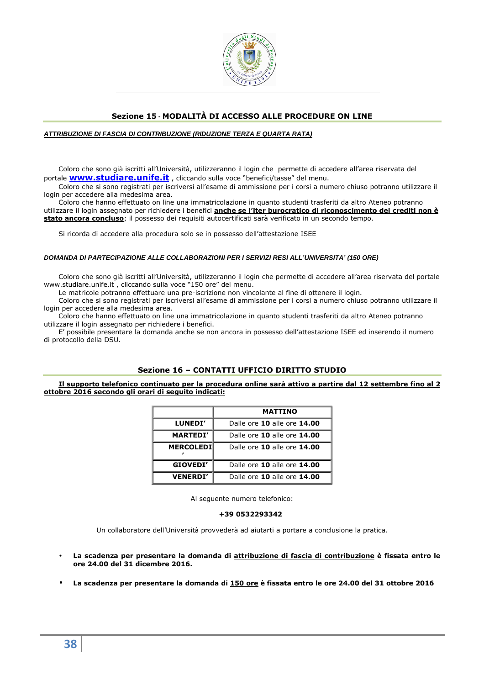

# **Sezione 15 - MODALITÀ DI ACCESSO ALLE PROCEDURE ON LINE**

### **ATTRIBUZIONE DI FASCIA DI CONTRIBUZIONE (RIDUZIONE TERZA E QUARTA RATA)**

Coloro che sono già iscritti all'Università, utilizzeranno il login che permette di accedere all'area riservata del portale **www.studiare.unife.it** , cliccando sulla voce "benefici/tasse" del menu.

Coloro che si sono registrati per iscriversi all'esame di ammissione per i corsi a numero chiuso potranno utilizzare il login per accedere alla medesima area.

Coloro che hanno effettuato on line una immatricolazione in quanto studenti trasferiti da altro Ateneo potranno utilizzare il login assegnato per richiedere i benefici **anche se l'iter burocratico di riconoscimento dei crediti non è stato ancora concluso**; il possesso dei requisiti autocertificati sarà verificato in un secondo tempo.

Si ricorda di accedere alla procedura solo se in possesso dell'attestazione ISEE

#### **DOMANDA DI PARTECIPAZIONE ALLE COLLABORAZIONI PER I SERVIZI RESI ALL'UNIVERSITA' (150 ORE)**

Coloro che sono già iscritti all'Università, utilizzeranno il login che permette di accedere all'area riservata del portale www.studiare.unife.it , cliccando sulla voce "150 ore" del menu.

Le matricole potranno effettuare una pre-iscrizione non vincolante al fine di ottenere il login.

Coloro che si sono registrati per iscriversi all'esame di ammissione per i corsi a numero chiuso potranno utilizzare il login per accedere alla medesima area.

Coloro che hanno effettuato on line una immatricolazione in quanto studenti trasferiti da altro Ateneo potranno utilizzare il login assegnato per richiedere i benefici.

E' possibile presentare la domanda anche se non ancora in possesso dell'attestazione ISEE ed inserendo il numero di protocollo della DSU.

# **Sezione 16 – CONTATTI UFFICIO DIRITTO STUDIO**

**Il supporto telefonico continuato per la procedura online sarà attivo a partire dal 12 settembre fino al 2 ottobre 2016 secondo gli orari di seguito indicati:** 

|                  | <b>MATTINO</b>              |
|------------------|-----------------------------|
| LUNEDI'          | Dalle ore 10 alle ore 14.00 |
| <b>MARTEDI'</b>  | Dalle ore 10 alle ore 14.00 |
| <b>MERCOLEDI</b> | Dalle ore 10 alle ore 14.00 |
| GIOVEDI'         | Dalle ore 10 alle ore 14.00 |
| <b>VENERDI'</b>  | Dalle ore 10 alle ore 14.00 |

Al seguente numero telefonico:

### **+39 0532293342**

Un collaboratore dell'Università provvederà ad aiutarti a portare a conclusione la pratica.

- **La scadenza per presentare la domanda di attribuzione di fascia di contribuzione è fissata entro le ore 24.00 del 31 dicembre 2016.**
- **La scadenza per presentare la domanda di 150 ore è fissata entro le ore 24.00 del 31 ottobre 2016**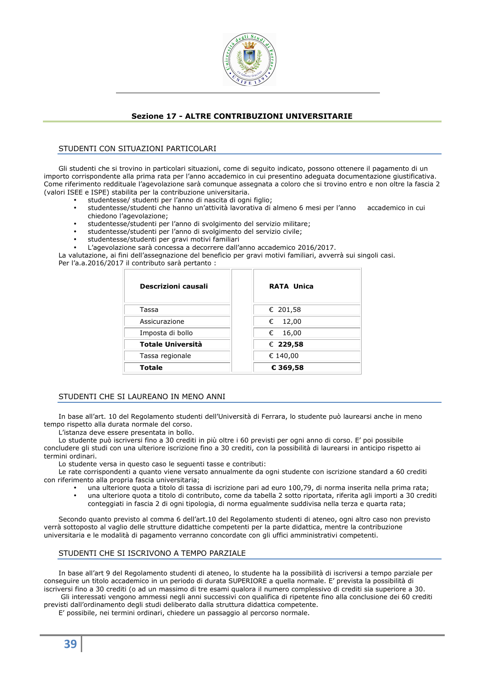

# **Sezione 17 - ALTRE CONTRIBUZIONI UNIVERSITARIE**

# STUDENTI CON SITUAZIONI PARTICOLARI

Gli studenti che si trovino in particolari situazioni, come di seguito indicato, possono ottenere il pagamento di un importo corrispondente alla prima rata per l'anno accademico in cui presentino adeguata documentazione giustificativa. Come riferimento reddituale l'agevolazione sarà comunque assegnata a coloro che si trovino entro e non oltre la fascia 2 (valori ISEE e ISPE) stabilita per la contribuzione universitaria.

- studentesse/ studenti per l'anno di nascita di ogni figlio;
- studentesse/studenti che hanno un'attività lavorativa di almeno 6 mesi per l'anno accademico in cui chiedono l'agevolazione;
- studentesse/studenti per l'anno di svolgimento del servizio militare;
- studentesse/studenti per l'anno di svolgimento del servizio civile;
- studentesse/studenti per gravi motivi familiari
- L'agevolazione sarà concessa a decorrere dall'anno accademico 2016/2017.

La valutazione, ai fini dell'assegnazione del beneficio per gravi motivi familiari, avverrà sui singoli casi. Per l'a.a.2016/2017 il contributo sarà pertanto :

| Descrizioni causali | <b>RATA Unica</b> |
|---------------------|-------------------|
| Tassa               | € 201,58          |
| Assicurazione       | € 12,00           |
| Imposta di bollo    | 16,00<br>€        |
| Totale Università   | € 229,58          |
| Tassa regionale     | € 140,00          |
| Totale              | € 369,58          |

# STUDENTI CHE SI LAUREANO IN MENO ANNI

In base all'art. 10 del Regolamento studenti dell'Università di Ferrara, lo studente può laurearsi anche in meno tempo rispetto alla durata normale del corso.

L'istanza deve essere presentata in bollo.

Lo studente può iscriversi fino a 30 crediti in più oltre i 60 previsti per ogni anno di corso. E' poi possibile concludere gli studi con una ulteriore iscrizione fino a 30 crediti, con la possibilità di laurearsi in anticipo rispetto ai termini ordinari.

Lo studente versa in questo caso le seguenti tasse e contributi:

Le rate corrispondenti a quanto viene versato annualmente da ogni studente con iscrizione standard a 60 crediti con riferimento alla propria fascia universitaria;

- una ulteriore quota a titolo di tassa di iscrizione pari ad euro 100,79, di norma inserita nella prima rata;
- una ulteriore quota a titolo di contributo, come da tabella 2 sotto riportata, riferita agli importi a 30 crediti conteggiati in fascia 2 di ogni tipologia, di norma egualmente suddivisa nella terza e quarta rata;

Secondo quanto previsto al comma 6 dell'art.10 del Regolamento studenti di ateneo, ogni altro caso non previsto verrà sottoposto al vaglio delle strutture didattiche competenti per la parte didattica, mentre la contribuzione universitaria e le modalità di pagamento verranno concordate con gli uffici amministrativi competenti.

# STUDENTI CHE SI ISCRIVONO A TEMPO PARZIALE

In base all'art 9 del Regolamento studenti di ateneo, lo studente ha la possibilità di iscriversi a tempo parziale per conseguire un titolo accademico in un periodo di durata SUPERIORE a quella normale. E' prevista la possibilità di iscriversi fino a 30 crediti (o ad un massimo di tre esami qualora il numero complessivo di crediti sia superiore a 30. Gli interessati vengono ammessi negli anni successivi con qualifica di ripetente fino alla conclusione dei 60 crediti

previsti dall'ordinamento degli studi deliberato dalla struttura didattica competente. E' possibile, nei termini ordinari, chiedere un passaggio al percorso normale.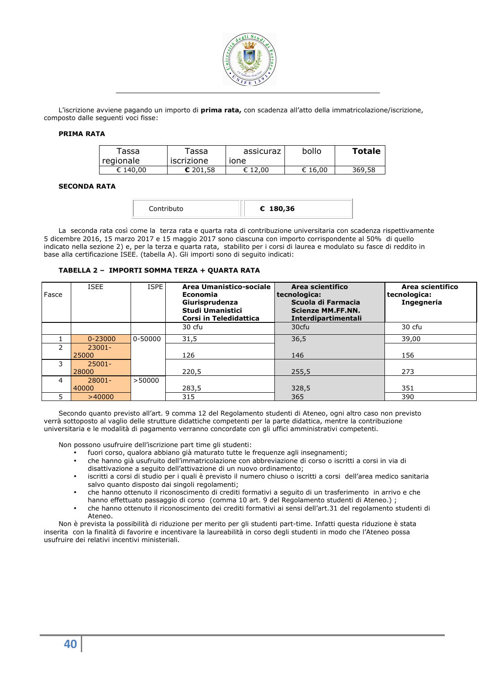

L'iscrizione avviene pagando un importo di **prima rata,** con scadenza all'atto della immatricolazione/iscrizione, composto dalle seguenti voci fisse:

# **PRIMA RATA**

| Tassa<br>I regionale | $\tau$ assa<br>iscrizione | assicuraz<br>ione | bollo   | <b>Totale</b> |
|----------------------|---------------------------|-------------------|---------|---------------|
| € 140.00             | \$201.58                  | € 12.00           | € 16.00 | 369,58        |

### **SECONDA RATA**

| € 180,36 |
|----------|
|          |

La seconda rata così come la terza rata e quarta rata di contribuzione universitaria con scadenza rispettivamente 5 dicembre 2016, 15 marzo 2017 e 15 maggio 2017 sono ciascuna con importo corrispondente al 50% di quello indicato nella sezione 2) e, per la terza e quarta rata, stabilito per i corsi di laurea e modulato su fasce di reddito in base alla certificazione ISEE. (tabella A). Gli importi sono di seguito indicati:

# **TABELLA 2 – IMPORTI SOMMA TERZA + QUARTA RATA**

| Fasce         | <b>ISEE</b> | <b>ISPE</b> | Area Umanistico-sociale<br><b>Economia</b><br>Giurisprudenza<br><b>Studi Umanistici</b><br>Corsi in Teledidattica | Area scientifico<br>tecnologica:<br>Scuola di Farmacia<br><b>Scienze MM.FF.NN.</b><br>Interdipartimentali | Area scientifico<br>tecnologica:<br>Ingegneria |
|---------------|-------------|-------------|-------------------------------------------------------------------------------------------------------------------|-----------------------------------------------------------------------------------------------------------|------------------------------------------------|
|               |             |             | 30 cfu                                                                                                            | 30cfu                                                                                                     | 30 cfu                                         |
|               | $0 - 23000$ | 0-50000     | 31,5                                                                                                              | 36,5                                                                                                      | 39,00                                          |
| $\mathcal{P}$ | $23001 -$   |             |                                                                                                                   |                                                                                                           |                                                |
|               | 25000       |             | 126                                                                                                               | 146                                                                                                       | 156                                            |
| 3             | $25001 -$   |             |                                                                                                                   |                                                                                                           |                                                |
|               | 28000       |             | 220,5                                                                                                             | 255,5                                                                                                     | 273                                            |
| 4             | $28001 -$   | >50000      |                                                                                                                   |                                                                                                           |                                                |
|               | 40000       |             | 283,5                                                                                                             | 328,5                                                                                                     | 351                                            |
| 5             | >40000      |             | 315                                                                                                               | 365                                                                                                       | 390                                            |

Secondo quanto previsto all'art. 9 comma 12 del Regolamento studenti di Ateneo, ogni altro caso non previsto verrà sottoposto al vaglio delle strutture didattiche competenti per la parte didattica, mentre la contribuzione universitaria e le modalità di pagamento verranno concordate con gli uffici amministrativi competenti.

Non possono usufruire dell'iscrizione part time gli studenti:

- fuori corso, qualora abbiano già maturato tutte le frequenze agli insegnamenti;
- che hanno già usufruito dell'immatricolazione con abbreviazione di corso o iscritti a corsi in via di disattivazione a seguito dell'attivazione di un nuovo ordinamento;
- iscritti a corsi di studio per i quali è previsto il numero chiuso o iscritti a corsi dell'area medico sanitaria salvo quanto disposto dai singoli regolamenti;
- che hanno ottenuto il riconoscimento di crediti formativi a seguito di un trasferimento in arrivo e che hanno effettuato passaggio di corso (comma 10 art. 9 del Regolamento studenti di Ateneo.) ;
- che hanno ottenuto il riconoscimento dei crediti formativi ai sensi dell'art.31 del regolamento studenti di Ateneo.

Non è prevista la possibilità di riduzione per merito per gli studenti part-time. Infatti questa riduzione è stata inserita con la finalità di favorire e incentivare la laureabilità in corso degli studenti in modo che l'Ateneo possa usufruire dei relativi incentivi ministeriali.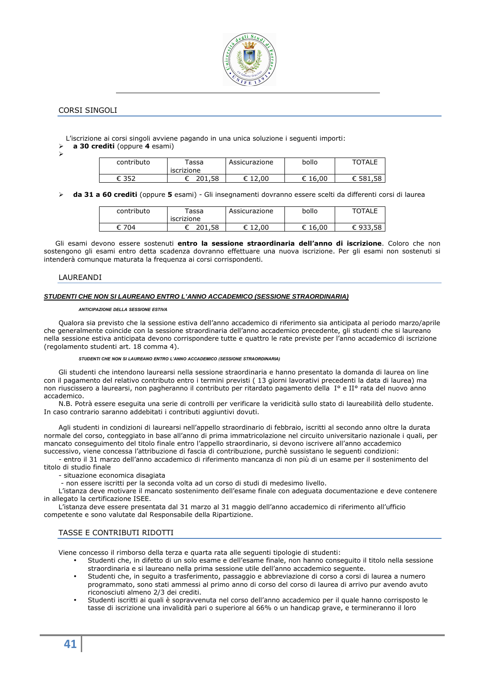

# CORSI SINGOLI

L'iscrizione ai corsi singoli avviene pagando in una unica soluzione i seguenti importi:

 **a 30 crediti** (oppure **4** esami)  $\blacktriangleright$ 

| contributo | <sup>r</sup> assa<br>iscrizione | Assicurazione | bollo | <b>TOTALE</b> |
|------------|---------------------------------|---------------|-------|---------------|
| F 35つ      | 201.58                          | 12.00         | 16.00 | .58<br>€ 581  |

**da 31 a 60 crediti** (oppure **5** esami) - Gli insegnamenti dovranno essere scelti da differenti corsi di laurea

| contributo | assa<br>iscrizione | Assicurazione | bollo | <b>TOTALE</b> |
|------------|--------------------|---------------|-------|---------------|
| 704.       | .58<br>ו∩ר         | 12,00<br>∽    | 16,00 | 933,58<br>ດລາ |

Gli esami devono essere sostenuti **entro la sessione straordinaria dell'anno di iscrizione**. Coloro che non sostengono gli esami entro detta scadenza dovranno effettuare una nuova iscrizione. Per gli esami non sostenuti si intenderà comunque maturata la frequenza ai corsi corrispondenti.

### LAUREANDI

# **STUDENTI CHE NON SI LAUREANO ENTRO L'ANNO ACCADEMICO (SESSIONE STRAORDINARIA)**

#### *ANTICIPAZIONE DELLA SESSIONE ESTIVA*

Qualora sia previsto che la sessione estiva dell'anno accademico di riferimento sia anticipata al periodo marzo/aprile che generalmente coincide con la sessione straordinaria dell'anno accademico precedente, gli studenti che si laureano nella sessione estiva anticipata devono corrispondere tutte e quattro le rate previste per l'anno accademico di iscrizione (regolamento studenti art. 18 comma 4).

#### *STUDENTI CHE NON SI LAUREANO ENTRO L'ANNO ACCADEMICO (SESSIONE STRAORDINARIA)*

Gli studenti che intendono laurearsi nella sessione straordinaria e hanno presentato la domanda di laurea on line con il pagamento del relativo contributo entro i termini previsti ( 13 giorni lavorativi precedenti la data di laurea) ma non riuscissero a laurearsi, non pagheranno il contributo per ritardato pagamento della I° e II° rata del nuovo anno accademico.

N.B. Potrà essere eseguita una serie di controlli per verificare la veridicità sullo stato di laureabilità dello studente. In caso contrario saranno addebitati i contributi aggiuntivi dovuti.

Agli studenti in condizioni di laurearsi nell'appello straordinario di febbraio, iscritti al secondo anno oltre la durata normale del corso, conteggiato in base all'anno di prima immatricolazione nel circuito universitario nazionale i quali, per mancato conseguimento del titolo finale entro l'appello straordinario, si devono iscrivere all'anno accademico successivo, viene concessa l'attribuzione di fascia di contribuzione, purchè sussistano le seguenti condizioni:

- entro il 31 marzo dell'anno accademico di riferimento mancanza di non più di un esame per il sostenimento del titolo di studio finale

- situazione economica disagiata

- non essere iscritti per la seconda volta ad un corso di studi di medesimo livello.

L'istanza deve motivare il mancato sostenimento dell'esame finale con adeguata documentazione e deve contenere in allegato la certificazione ISEE.

L'istanza deve essere presentata dal 31 marzo al 31 maggio dell'anno accademico di riferimento all'ufficio competente e sono valutate dal Responsabile della Ripartizione.

# TASSE E CONTRIBUTI RIDOTTI

Viene concesso il rimborso della terza e quarta rata alle seguenti tipologie di studenti:

- Studenti che, in difetto di un solo esame e dell'esame finale, non hanno conseguito il titolo nella sessione straordinaria e si laureano nella prima sessione utile dell'anno accademico seguente.
- Studenti che, in seguito a trasferimento, passaggio e abbreviazione di corso a corsi di laurea a numero programmato, sono stati ammessi al primo anno di corso del corso di laurea di arrivo pur avendo avuto riconosciuti almeno 2/3 dei crediti.
- Studenti iscritti ai quali è sopravvenuta nel corso dell'anno accademico per il quale hanno corrisposto le tasse di iscrizione una invalidità pari o superiore al 66% o un handicap grave, e termineranno il loro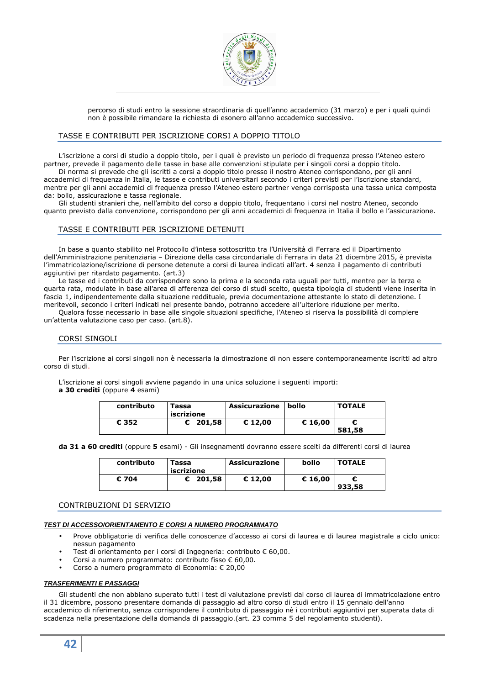

percorso di studi entro la sessione straordinaria di quell'anno accademico (31 marzo) e per i quali quindi non è possibile rimandare la richiesta di esonero all'anno accademico successivo.

# TASSE E CONTRIBUTI PER ISCRIZIONE CORSI A DOPPIO TITOLO

L'iscrizione a corsi di studio a doppio titolo, per i quali è previsto un periodo di frequenza presso l'Ateneo estero partner, prevede il pagamento delle tasse in base alle convenzioni stipulate per i singoli corsi a doppio titolo. Di norma si prevede che gli iscritti a corsi a doppio titolo presso il nostro Ateneo corrispondano, per gli anni accademici di frequenza in Italia, le tasse e contributi universitari secondo i criteri previsti per l'iscrizione standard, mentre per gli anni accademici di frequenza presso l'Ateneo estero partner venga corrisposta una tassa unica composta da: bollo, assicurazione e tassa regionale.

Gli studenti stranieri che, nell'ambito del corso a doppio titolo, frequentano i corsi nel nostro Ateneo, secondo quanto previsto dalla convenzione, corrispondono per gli anni accademici di frequenza in Italia il bollo e l'assicurazione.

# TASSE E CONTRIBUTI PER ISCRIZIONE DETENUTI

In base a quanto stabilito nel Protocollo d'intesa sottoscritto tra l'Università di Ferrara ed il Dipartimento dell'Amministrazione penitenziaria – Direzione della casa circondariale di Ferrara in data 21 dicembre 2015, è prevista l'immatricolazione/iscrizione di persone detenute a corsi di laurea indicati all'art. 4 senza il pagamento di contributi aggiuntivi per ritardato pagamento. (art.3)

Le tasse ed i contributi da corrispondere sono la prima e la seconda rata uguali per tutti, mentre per la terza e quarta rata, modulate in base all'area di afferenza del corso di studi scelto, questa tipologia di studenti viene inserita in fascia 1, indipendentemente dalla situazione reddituale, previa documentazione attestante lo stato di detenzione. I meritevoli, secondo i criteri indicati nel presente bando, potranno accedere all'ulteriore riduzione per merito.

Qualora fosse necessario in base alle singole situazioni specifiche, l'Ateneo si riserva la possibilità di compiere un'attenta valutazione caso per caso. (art.8).

# CORSI SINGOLI

Per l'iscrizione ai corsi singoli non è necessaria la dimostrazione di non essere contemporaneamente iscritti ad altro corso di studi.

L'iscrizione ai corsi singoli avviene pagando in una unica soluzione i seguenti importi:

# **a 30 crediti** (oppure **4** esami)

| contributo | Tassa<br>iscrizione | <b>Assicurazione</b> | bollo   | <b>TOTALE</b> |
|------------|---------------------|----------------------|---------|---------------|
| € 352      | $C$ 201.58          | € 12,00              | € 16,00 | 581,58        |

**da 31 a 60 crediti** (oppure **5** esami) - Gli insegnamenti dovranno essere scelti da differenti corsi di laurea

| contributo | Tassa<br>iscrizione | <b>Assicurazione</b> | bollo   | <b>TOTALE</b> |
|------------|---------------------|----------------------|---------|---------------|
| € 704      | $C$ 201.58          | € 12,00              | € 16,00 | 933,58        |

# CONTRIBUZIONI DI SERVIZIO

# **TEST DI ACCESSO/ORIENTAMENTO E CORSI A NUMERO PROGRAMMATO**

- Prove obbligatorie di verifica delle conoscenze d'accesso ai corsi di laurea e di laurea magistrale a ciclo unico: nessun pagamento
- Test di orientamento per i corsi di Ingegneria: contributo € 60,00.
- Corsi a numero programmato: contributo fisso € 60,00.
- Corso a numero programmato di Economia: € 20,00

# **TRASFERIMENTI E PASSAGGI**

Gli studenti che non abbiano superato tutti i test di valutazione previsti dal corso di laurea di immatricolazione entro il 31 dicembre, possono presentare domanda di passaggio ad altro corso di studi entro il 15 gennaio dell'anno accademico di riferimento, senza corrispondere il contributo di passaggio nè i contributi aggiuntivi per superata data di scadenza nella presentazione della domanda di passaggio.(art. 23 comma 5 del regolamento studenti).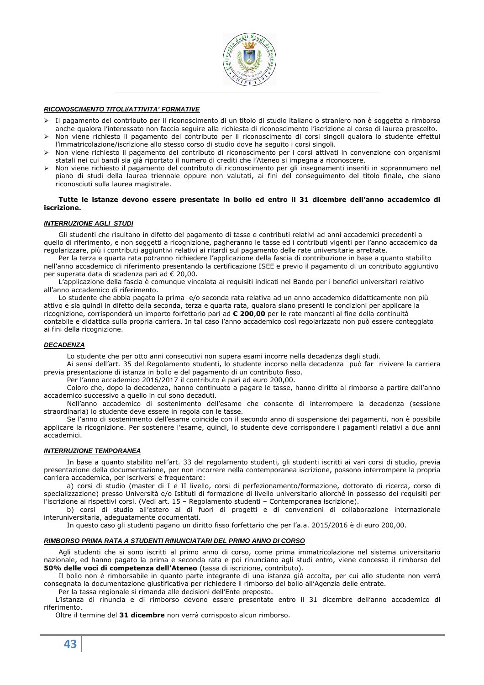

### **RICONOSCIMENTO TITOLI/ATTIVITA' FORMATIVE**

- Il pagamento del contributo per il riconoscimento di un titolo di studio italiano o straniero non è soggetto a rimborso anche qualora l'interessato non faccia seguire alla richiesta di riconoscimento l'iscrizione al corso di laurea prescelto.
- Non viene richiesto il pagamento del contributo per il riconoscimento di corsi singoli qualora lo studente effettui l'immatricolazione/iscrizione allo stesso corso di studio dove ha seguito i corsi singoli.
- Non viene richiesto il pagamento del contributo di riconoscimento per i corsi attivati in convenzione con organismi statali nei cui bandi sia già riportato il numero di crediti che l'Ateneo si impegna a riconoscere.
- Non viene richiesto il pagamento del contributo di riconoscimento per gli insegnamenti inseriti in soprannumero nel piano di studi della laurea triennale oppure non valutati, ai fini del conseguimento del titolo finale, che siano riconosciuti sulla laurea magistrale.

#### **Tutte le istanze devono essere presentate in bollo ed entro il 31 dicembre dell'anno accademico di iscrizione.**

### **INTERRUZIONE AGLI STUDI**

Gli studenti che risultano in difetto del pagamento di tasse e contributi relativi ad anni accademici precedenti a quello di riferimento, e non soggetti a ricognizione, pagheranno le tasse ed i contributi vigenti per l'anno accademico da regolarizzare, più i contributi aggiuntivi relativi ai ritardi sul pagamento delle rate universitarie arretrate.

Per la terza e quarta rata potranno richiedere l'applicazione della fascia di contribuzione in base a quanto stabilito nell'anno accademico di riferimento presentando la certificazione ISEE e previo il pagamento di un contributo aggiuntivo per superata data di scadenza pari ad € 20,00.

L'applicazione della fascia è comunque vincolata ai requisiti indicati nel Bando per i benefici universitari relativo all'anno accademico di riferimento.

Lo studente che abbia pagato la prima e/o seconda rata relativa ad un anno accademico didatticamente non più attivo e sia quindi in difetto della seconda, terza e quarta rata, qualora siano presenti le condizioni per applicare la ricognizione, corrisponderà un importo forfettario pari ad **€ 200**,**00** per le rate mancanti al fine della continuità contabile e didattica sulla propria carriera. In tal caso l'anno accademico così regolarizzato non può essere conteggiato ai fini della ricognizione.

### **DECADENZA**

Lo studente che per otto anni consecutivi non supera esami incorre nella decadenza dagli studi.

Ai sensi dell'art. 35 del Regolamento studenti, lo studente incorso nella decadenza può far rivivere la carriera previa presentazione di istanza in bollo e del pagamento di un contributo fisso.

Per l'anno accademico 2016/2017 il contributo è pari ad euro 200,00.

Coloro che, dopo la decadenza, hanno continuato a pagare le tasse, hanno diritto al rimborso a partire dall'anno accademico successivo a quello in cui sono decaduti.

Nell'anno accademico di sostenimento dell'esame che consente di interrompere la decadenza (sessione straordinaria) lo studente deve essere in regola con le tasse.

Se l'anno di sostenimento dell'esame coincide con il secondo anno di sospensione dei pagamenti, non è possibile applicare la ricognizione. Per sostenere l'esame, quindi, lo studente deve corrispondere i pagamenti relativi a due anni accademici.

#### **INTERRUZIONE TEMPORANEA**

In base a quanto stabilito nell'art. 33 del regolamento studenti, gli studenti iscritti ai vari corsi di studio, previa presentazione della documentazione, per non incorrere nella contemporanea iscrizione, possono interrompere la propria carriera accademica, per iscriversi e frequentare:

a) corsi di studio (master di I e II livello, corsi di perfezionamento/formazione, dottorato di ricerca, corso di specializzazione) presso Università e/o Istituti di formazione di livello universitario allorché in possesso dei requisiti per l'iscrizione ai rispettivi corsi. (Vedi art. 15 – Regolamento studenti – Contemporanea iscrizione).

b) corsi di studio all'estero al di fuori di progetti e di convenzioni di collaborazione internazionale interuniversitaria, adeguatamente documentati.

In questo caso gli studenti pagano un diritto fisso forfettario che per l'a.a. 2015/2016 è di euro 200,00.

#### **RIMBORSO PRIMA RATA A STUDENTI RINUNCIATARI DEL PRIMO ANNO DI CORSO**

Agli studenti che si sono iscritti al primo anno di corso, come prima immatricolazione nel sistema universitario nazionale, ed hanno pagato la prima e seconda rata e poi rinunciano agli studi entro, viene concesso il rimborso del **50% delle voci di competenza dell'Ateneo** (tassa di iscrizione, contributo).

Il bollo non è rimborsabile in quanto parte integrante di una istanza già accolta, per cui allo studente non verrà consegnata la documentazione giustificativa per richiedere il rimborso del bollo all'Agenzia delle entrate.

Per la tassa regionale si rimanda alle decisioni dell'Ente preposto.

L'istanza di rinuncia e di rimborso devono essere presentate entro il 31 dicembre dell'anno accademico di riferimento.

Oltre il termine del **31 dicembre** non verrà corrisposto alcun rimborso.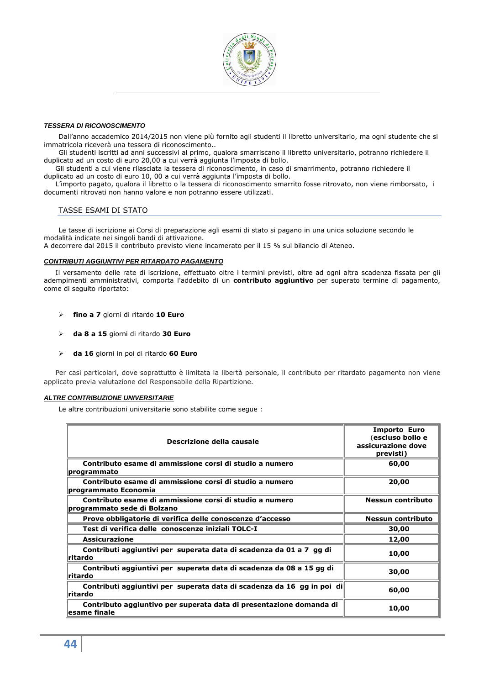

# **TESSERA DI RICONOSCIMENTO**

Dall'anno accademico 2014/2015 non viene più fornito agli studenti il libretto universitario, ma ogni studente che si immatricola riceverà una tessera di riconoscimento..

Gli studenti iscritti ad anni successivi al primo, qualora smarriscano il libretto universitario, potranno richiedere il duplicato ad un costo di euro 20,00 a cui verrà aggiunta l'imposta di bollo.

Gli studenti a cui viene rilasciata la tessera di riconoscimento, in caso di smarrimento, potranno richiedere il duplicato ad un costo di euro 10, 00 a cui verrà aggiunta l'imposta di bollo.

L'importo pagato, qualora il libretto o la tessera di riconoscimento smarrito fosse ritrovato, non viene rimborsato, i documenti ritrovati non hanno valore e non potranno essere utilizzati.

# TASSE ESAMI DI STATO

Le tasse di iscrizione ai Corsi di preparazione agli esami di stato si pagano in una unica soluzione secondo le modalità indicate nei singoli bandi di attivazione.

A decorrere dal 2015 il contributo previsto viene incamerato per il 15 % sul bilancio di Ateneo.

# **CONTRIBUTI AGGIUNTIVI PER RITARDATO PAGAMENTO**

Il versamento delle rate di iscrizione, effettuato oltre i termini previsti, oltre ad ogni altra scadenza fissata per gli adempimenti amministrativi, comporta l'addebito di un **contributo aggiuntivo** per superato termine di pagamento, come di seguito riportato:

- **fino a 7** giorni di ritardo **10 Euro**
- **da 8 a 15** giorni di ritardo **30 Euro**
- **da 16** giorni in poi di ritardo **60 Euro**

Per casi particolari, dove soprattutto è limitata la libertà personale, il contributo per ritardato pagamento non viene applicato previa valutazione del Responsabile della Ripartizione.

# **ALTRE CONTRIBUZIONE UNIVERSITARIE**

Le altre contribuzioni universitarie sono stabilite come segue :

| Descrizione della causale                                                              | <b>Importo Euro</b><br>(escluso bollo e<br>assicurazione dove<br>previsti) |
|----------------------------------------------------------------------------------------|----------------------------------------------------------------------------|
| Contributo esame di ammissione corsi di studio a numero<br>programmato                 | 60,00                                                                      |
| Contributo esame di ammissione corsi di studio a numero<br>programmato Economia        | 20,00                                                                      |
| Contributo esame di ammissione corsi di studio a numero<br>programmato sede di Bolzano | Nessun contributo                                                          |
| Prove obbligatorie di verifica delle conoscenze d'accesso                              | Nessun contributo                                                          |
| Test di verifica delle conoscenze iniziali TOLC-I                                      | 30,00                                                                      |
| <b>Assicurazione</b>                                                                   | 12,00                                                                      |
| Contributi aggiuntivi per superata data di scadenza da 01 a 7 gg di<br>∥ritardo        | 10,00                                                                      |
| Contributi aggiuntivi per superata data di scadenza da 08 a 15 gg di<br>lritardo       | 30,00                                                                      |
| Contributi aggiuntivi per superata data di scadenza da 16 gg in poi di<br>lritardo     | 60,00                                                                      |
| Contributo aggiuntivo per superata data di presentazione domanda di<br>lesame finale   | 10,00                                                                      |